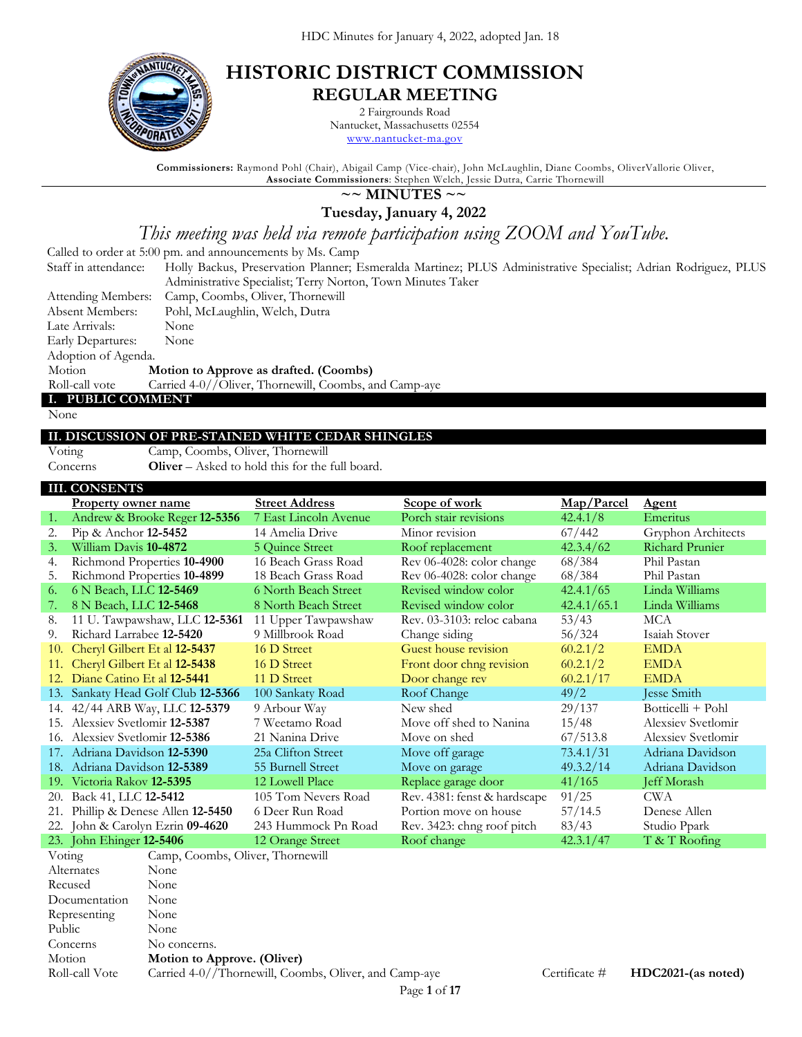

## **HISTORIC DISTRICT COMMISSION REGULAR MEETING**

2 Fairgrounds Road Nantucket, Massachusetts 02554 [www.nantucket-ma.gov](http://www.nantucket-ma.gov/)

**Commissioners:** Raymond Pohl (Chair), Abigail Camp (Vice-chair), John McLaughlin, Diane Coombs, OliverVallorie Oliver, **Associate Commissioners**: Stephen Welch, Jessie Dutra, Carrie Thornewill

## **~~ MINUTES ~~**

**Tuesday, January 4, 2022**

*This meeting was held via remote participation using ZOOM and YouTube.*

Called to order at 5:00 pm. and announcements by Ms. Camp

Staff in attendance: Holly Backus, Preservation Planner; Esmeralda Martinez; PLUS Administrative Specialist; Adrian Rodriguez, PLUS Administrative Specialist; Terry Norton, Town Minutes Taker

|                     | Attending Members: Camp, Coombs, Oliver, Thornewill   |
|---------------------|-------------------------------------------------------|
| Absent Members:     | Pohl, McLaughlin, Welch, Dutra                        |
| Late Arrivals:      | None                                                  |
| Early Departures:   | None                                                  |
| Adoption of Agenda. |                                                       |
| Motion              | Motion to Approve as drafted. (Coombs)                |
| Roll-call vote      | Carried 4-0//Oliver, Thornewill, Coombs, and Camp-aye |

**I. PUBLIC COMMENT** None

## **II. DISCUSSION OF PRE-STAINED WHITE CEDAR SHINGLES**

Voting Camp, Coombs, Oliver, Thornewill Concerns **Oliver** – Asked to hold this for the full board.

**III. CONSENTS**

|        | <b>III. CONSENTS</b><br><b>Property owner name</b> | <b>Street Address</b> | Scope of work                | Map/Parcel  | <b>Agent</b>           |
|--------|----------------------------------------------------|-----------------------|------------------------------|-------------|------------------------|
| 1.     | Andrew & Brooke Reger 12-5356                      | 7 East Lincoln Avenue | Porch stair revisions        | 42.4.1/8    | Emeritus               |
| 2.     | Pip & Anchor 12-5452                               | 14 Amelia Drive       | Minor revision               | 67/442      | Gryphon Architects     |
| 3.     | William Davis 10-4872                              | 5 Quince Street       | Roof replacement             | 42.3.4/62   | <b>Richard Prunier</b> |
| 4.     | Richmond Properties 10-4900                        | 16 Beach Grass Road   | Rev 06-4028: color change    | 68/384      | Phil Pastan            |
| 5.     | Richmond Properties 10-4899                        | 18 Beach Grass Road   | Rev 06-4028: color change    | 68/384      | Phil Pastan            |
| 6.     | 6 N Beach, LLC 12-5469                             | 6 North Beach Street  | Revised window color         | 42.4.1/65   | Linda Williams         |
| 7.     | 8 N Beach, LLC 12-5468                             | 8 North Beach Street  | Revised window color         | 42.4.1/65.1 | Linda Williams         |
| 8.     | 11 U. Tawpawshaw, LLC <b>12-5361</b>               | 11 Upper Tawpawshaw   | Rev. 03-3103: reloc cabana   | 53/43       | MCA                    |
| 9.     | Richard Larrabee 12-5420                           | 9 Millbrook Road      | Change siding                | 56/324      | Isaiah Stover          |
| 10.    | Cheryl Gilbert Et al 12-5437                       | 16 D Street           | Guest house revision         | 60.2.1/2    | <b>EMDA</b>            |
| 11.    | Cheryl Gilbert Et al 12-5438                       | 16 D Street           | Front door chng revision     | 60.2.1/2    | <b>EMDA</b>            |
| 12.    | Diane Catino Et al 12-5441                         | 11 D Street           | Door change rev              | 60.2.1/17   | <b>EMDA</b>            |
| 13.    | Sankaty Head Golf Club 12-5366                     | 100 Sankaty Road      | Roof Change                  | 49/2        | Jesse Smith            |
| 14.    | 42/44 ARB Way, LLC 12-5379                         | 9 Arbour Way          | New shed                     | 29/137      | Botticelli + Pohl      |
| 15.    | Alexsiev Svetlomir 12-5387                         | 7 Weetamo Road        | Move off shed to Nanina      | 15/48       | Alexsiev Svetlomir     |
|        | 16. Alexsiev Svetlomir 12-5386                     | 21 Nanina Drive       | Move on shed                 | 67/513.8    | Alexsiev Svetlomir     |
|        | 17. Adriana Davidson 12-5390                       | 25a Clifton Street    | Move off garage              | 73.4.1/31   | Adriana Davidson       |
|        | 18. Adriana Davidson 12-5389                       | 55 Burnell Street     | Move on garage               | 49.3.2/14   | Adriana Davidson       |
| 19.    | Victoria Rakov 12-5395                             | 12 Lowell Place       | Replace garage door          | 41/165      | Jeff Morash            |
| 20.    | Back 41, LLC 12-5412                               | 105 Tom Nevers Road   | Rev. 4381: fenst & hardscape | 91/25       | <b>CWA</b>             |
| 21.    | Phillip & Denese Allen 12-5450                     | 6 Deer Run Road       | Portion move on house        | 57/14.5     | Denese Allen           |
| 22.    | John & Carolyn Ezrin 09-4620                       | 243 Hummock Pn Road   | Rev. 3423: chng roof pitch   | 83/43       | Studio Ppark           |
| 23.    | John Ehinger 12-5406                               | 12 Orange Street      | Roof change                  | 42.3.1/47   | T & T Roofing          |
| Voting | Camp, Coombs, Oliver, Thornewill                   |                       |                              |             |                        |
|        | Alternates<br>None                                 |                       |                              |             |                        |
|        | Recused<br>None                                    |                       |                              |             |                        |
|        | Documentation<br>None                              |                       |                              |             |                        |
|        | None<br>Representing                               |                       |                              |             |                        |
| Public | None                                               |                       |                              |             |                        |
|        | Concerns<br>No concerns.                           |                       |                              |             |                        |

Motion **Motion to Approve. (Oliver)**

Roll-call Vote Carried 4-0//Thornewill, Coombs, Oliver, and Camp-aye Certificate # **HDC2021-(as noted)**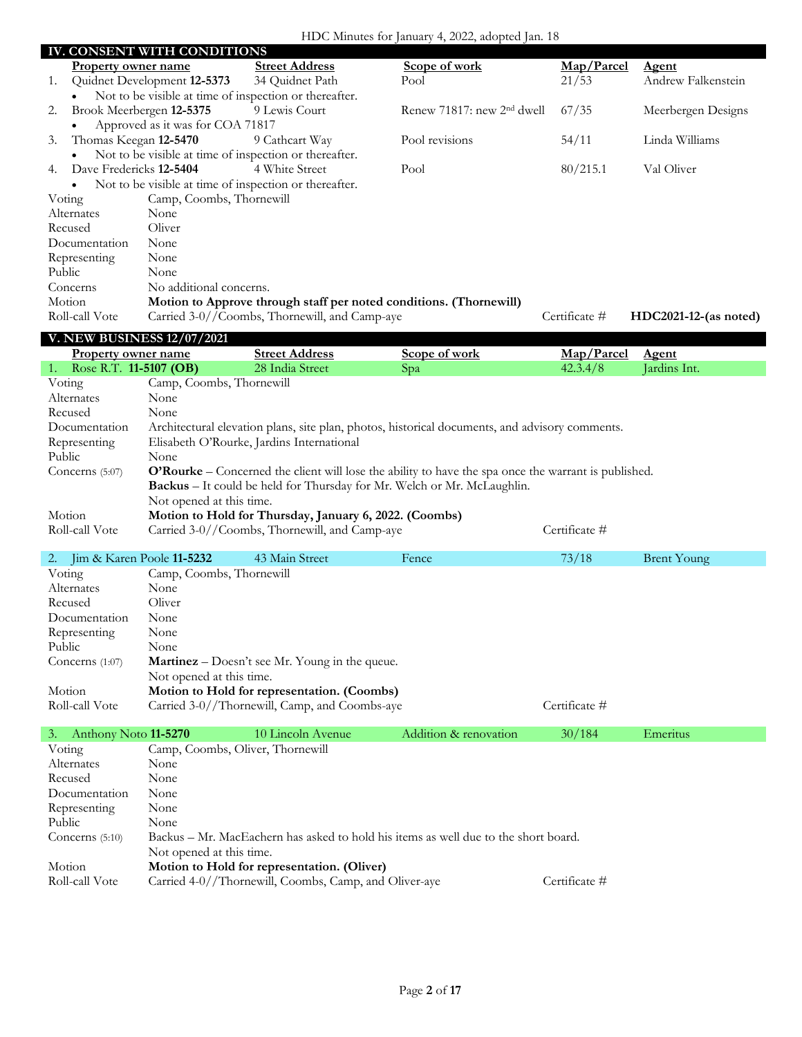|                                      |                                  |                                                                         | HDC Minutes for January 4, 2022, adopted Jan. 18                                                     |               |                         |
|--------------------------------------|----------------------------------|-------------------------------------------------------------------------|------------------------------------------------------------------------------------------------------|---------------|-------------------------|
|                                      | IV. CONSENT WITH CONDITIONS      |                                                                         |                                                                                                      |               |                         |
| <b>Property owner name</b>           |                                  | <b>Street Address</b>                                                   | Scope of work                                                                                        | Map/Parcel    | <b>Agent</b>            |
| 1.                                   | Quidnet Development 12-5373      | 34 Quidnet Path                                                         | Pool                                                                                                 | 21/53         | Andrew Falkenstein      |
| Brook Meerbergen 12-5375<br>2.       |                                  | Not to be visible at time of inspection or thereafter.<br>9 Lewis Court | Renew 71817: new 2 <sup>nd</sup> dwell                                                               | 67/35         | Meerbergen Designs      |
|                                      | Approved as it was for COA 71817 |                                                                         |                                                                                                      |               |                         |
| Thomas Keegan 12-5470<br>3.          |                                  | 9 Cathcart Way                                                          | Pool revisions                                                                                       | 54/11         | Linda Williams          |
| $\bullet$                            |                                  | Not to be visible at time of inspection or thereafter.                  |                                                                                                      |               |                         |
| Dave Fredericks 12-5404<br>4.        |                                  | 4 White Street                                                          | Pool                                                                                                 | 80/215.1      | Val Oliver              |
| $\bullet$                            |                                  | Not to be visible at time of inspection or thereafter.                  |                                                                                                      |               |                         |
| Voting                               | Camp, Coombs, Thornewill         |                                                                         |                                                                                                      |               |                         |
| Alternates                           | None                             |                                                                         |                                                                                                      |               |                         |
| Recused                              | Oliver                           |                                                                         |                                                                                                      |               |                         |
| Documentation                        | None                             |                                                                         |                                                                                                      |               |                         |
| Representing                         | None                             |                                                                         |                                                                                                      |               |                         |
| Public                               | None                             |                                                                         |                                                                                                      |               |                         |
| Concerns                             | No additional concerns.          |                                                                         |                                                                                                      |               |                         |
| Motion                               |                                  | Motion to Approve through staff per noted conditions. (Thornewill)      |                                                                                                      |               |                         |
| Roll-call Vote                       |                                  | Carried 3-0//Coombs, Thornewill, and Camp-aye                           |                                                                                                      | Certificate # | $HDC2021-12-(as noted)$ |
| <b>V. NEW BUSINESS 12/07/2021</b>    |                                  |                                                                         |                                                                                                      |               |                         |
| <b>Property owner name</b>           |                                  | <b>Street Address</b>                                                   | Scope of work                                                                                        | Map/Parcel    | <b>Agent</b>            |
| Rose R.T. 11-5107 (OB)<br>1.         |                                  | 28 India Street                                                         | Spa                                                                                                  | 42.3.4/8      | Jardins Int.            |
| Voting                               | Camp, Coombs, Thornewill         |                                                                         |                                                                                                      |               |                         |
| Alternates                           | None                             |                                                                         |                                                                                                      |               |                         |
| Recused                              | None                             |                                                                         |                                                                                                      |               |                         |
| Documentation                        |                                  |                                                                         | Architectural elevation plans, site plan, photos, historical documents, and advisory comments.       |               |                         |
| Representing                         |                                  | Elisabeth O'Rourke, Jardins International                               |                                                                                                      |               |                         |
| Public                               | None                             |                                                                         |                                                                                                      |               |                         |
| Concerns $(5:07)$                    |                                  |                                                                         | O'Rourke – Concerned the client will lose the ability to have the spa once the warrant is published. |               |                         |
|                                      |                                  | Backus - It could be held for Thursday for Mr. Welch or Mr. McLaughlin. |                                                                                                      |               |                         |
|                                      | Not opened at this time.         |                                                                         |                                                                                                      |               |                         |
| Motion                               |                                  | Motion to Hold for Thursday, January 6, 2022. (Coombs)                  |                                                                                                      |               |                         |
| Roll-call Vote                       |                                  | Carried 3-0//Coombs, Thornewill, and Camp-aye                           |                                                                                                      | Certificate # |                         |
| Jim & Karen Poole 11-5232<br>2.      |                                  | 43 Main Street                                                          | Fence                                                                                                | 73/18         | <b>Brent Young</b>      |
| Voting                               | Camp, Coombs, Thornewill         |                                                                         |                                                                                                      |               |                         |
| Alternates                           | None                             |                                                                         |                                                                                                      |               |                         |
| Recused                              | Oliver                           |                                                                         |                                                                                                      |               |                         |
| Documentation                        | None                             |                                                                         |                                                                                                      |               |                         |
| Representing                         | None                             |                                                                         |                                                                                                      |               |                         |
| Public                               | None                             |                                                                         |                                                                                                      |               |                         |
| Concerns (1:07)                      |                                  | <b>Martinez</b> – Doesn't see Mr. Young in the queue.                   |                                                                                                      |               |                         |
|                                      | Not opened at this time.         |                                                                         |                                                                                                      |               |                         |
| Motion                               |                                  | Motion to Hold for representation. (Coombs)                             |                                                                                                      |               |                         |
| Roll-call Vote                       |                                  | Carried 3-0//Thornewill, Camp, and Coombs-aye                           |                                                                                                      | Certificate # |                         |
|                                      |                                  | 10 Lincoln Avenue                                                       |                                                                                                      |               | Emeritus                |
| Anthony Noto 11-5270<br>3.<br>Voting | Camp, Coombs, Oliver, Thornewill |                                                                         | Addition & renovation                                                                                | 30/184        |                         |
| Alternates                           | None                             |                                                                         |                                                                                                      |               |                         |
| Recused                              | None                             |                                                                         |                                                                                                      |               |                         |
| Documentation                        | None                             |                                                                         |                                                                                                      |               |                         |
| Representing                         | None                             |                                                                         |                                                                                                      |               |                         |
| Public                               | None                             |                                                                         |                                                                                                      |               |                         |
| Concerns $(5:10)$                    |                                  |                                                                         | Backus – Mr. MacEachern has asked to hold his items as well due to the short board.                  |               |                         |
|                                      | Not opened at this time.         |                                                                         |                                                                                                      |               |                         |
| Motion                               |                                  | Motion to Hold for representation. (Oliver)                             |                                                                                                      |               |                         |
|                                      |                                  |                                                                         |                                                                                                      |               |                         |

Roll-call Vote Carried 4-0//Thornewill, Coombs, Camp, and Oliver-aye Certificate #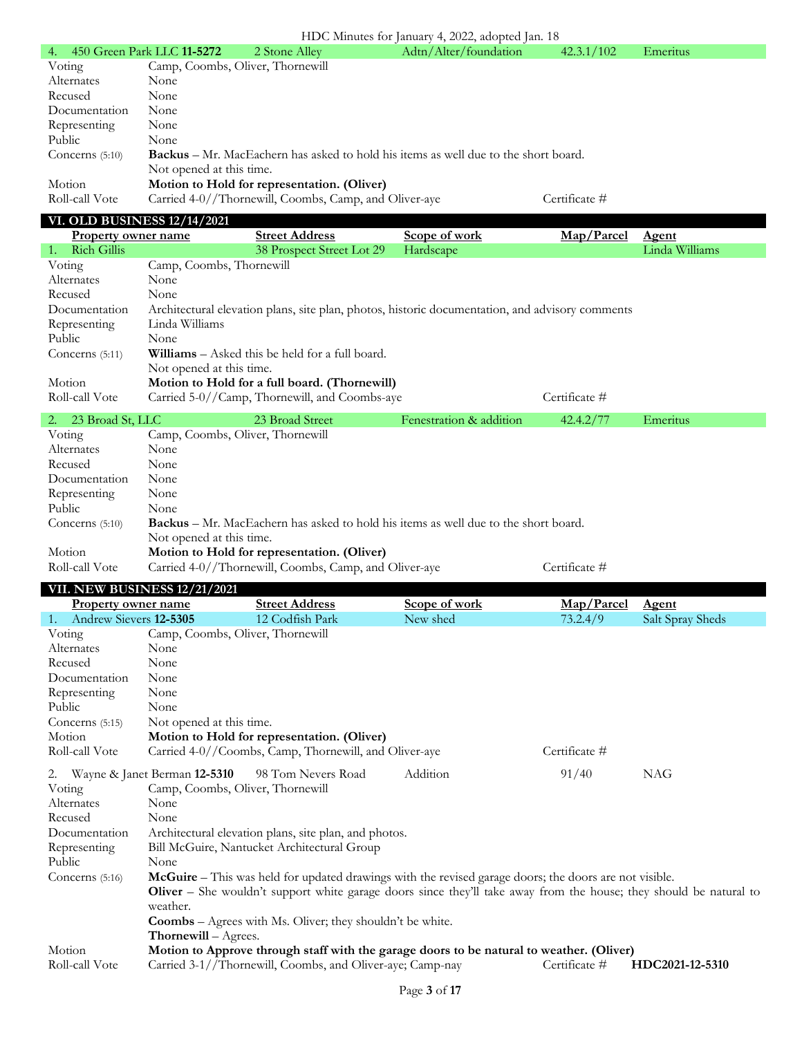|                             |                                     |                                                                  | HDC Minutes for January 4, 2022, adopted Jan. 18                                                                   |               |                  |
|-----------------------------|-------------------------------------|------------------------------------------------------------------|--------------------------------------------------------------------------------------------------------------------|---------------|------------------|
| 4.                          | 450 Green Park LLC 11-5272          | 2 Stone Alley                                                    | Adtn/Alter/foundation                                                                                              | 42.3.1/102    | Emeritus         |
| Voting                      |                                     | Camp, Coombs, Oliver, Thornewill                                 |                                                                                                                    |               |                  |
| Alternates                  | None                                |                                                                  |                                                                                                                    |               |                  |
| Recused                     | None                                |                                                                  |                                                                                                                    |               |                  |
| Documentation               | None                                |                                                                  |                                                                                                                    |               |                  |
| Representing                | None                                |                                                                  |                                                                                                                    |               |                  |
| Public                      | None                                |                                                                  |                                                                                                                    |               |                  |
| Concerns $(5:10)$           |                                     |                                                                  | Backus - Mr. MacEachern has asked to hold his items as well due to the short board.                                |               |                  |
|                             | Not opened at this time.            |                                                                  |                                                                                                                    |               |                  |
| Motion                      |                                     | Motion to Hold for representation. (Oliver)                      |                                                                                                                    |               |                  |
| Roll-call Vote              |                                     | Carried 4-0//Thornewill, Coombs, Camp, and Oliver-aye            |                                                                                                                    | Certificate # |                  |
|                             |                                     |                                                                  |                                                                                                                    |               |                  |
| VI. OLD BUSINESS 12/14/2021 |                                     |                                                                  |                                                                                                                    |               |                  |
| <b>Property owner name</b>  |                                     | <b>Street Address</b>                                            | Scope of work                                                                                                      | Map/Parcel    | <b>Agent</b>     |
| <b>Rich Gillis</b><br>1.    |                                     | 38 Prospect Street Lot 29                                        | Hardscape                                                                                                          |               | Linda Williams   |
| Voting                      | Camp, Coombs, Thornewill            |                                                                  |                                                                                                                    |               |                  |
| Alternates                  | None                                |                                                                  |                                                                                                                    |               |                  |
| Recused                     | None                                |                                                                  |                                                                                                                    |               |                  |
| Documentation               |                                     |                                                                  | Architectural elevation plans, site plan, photos, historic documentation, and advisory comments                    |               |                  |
| Representing                | Linda Williams                      |                                                                  |                                                                                                                    |               |                  |
| Public                      | None                                |                                                                  |                                                                                                                    |               |                  |
| Concerns $(5:11)$           |                                     | <b>Williams</b> – Asked this be held for a full board.           |                                                                                                                    |               |                  |
|                             | Not opened at this time.            |                                                                  |                                                                                                                    |               |                  |
| Motion                      |                                     | Motion to Hold for a full board. (Thornewill)                    |                                                                                                                    |               |                  |
| Roll-call Vote              |                                     | Carried 5-0//Camp, Thornewill, and Coombs-aye                    |                                                                                                                    | Certificate # |                  |
|                             |                                     |                                                                  |                                                                                                                    |               |                  |
| 2. 23 Broad St, LLC         |                                     | 23 Broad Street                                                  | Fenestration & addition                                                                                            | 42.4.2/77     | Emeritus         |
| Voting                      |                                     | Camp, Coombs, Oliver, Thornewill                                 |                                                                                                                    |               |                  |
| Alternates                  | None                                |                                                                  |                                                                                                                    |               |                  |
| Recused                     | None                                |                                                                  |                                                                                                                    |               |                  |
| Documentation               | None                                |                                                                  |                                                                                                                    |               |                  |
| Representing                | None                                |                                                                  |                                                                                                                    |               |                  |
| Public                      |                                     |                                                                  |                                                                                                                    |               |                  |
|                             | None                                |                                                                  |                                                                                                                    |               |                  |
| Concerns $(5:10)$           |                                     |                                                                  | <b>Backus</b> – Mr. MacEachern has asked to hold his items as well due to the short board.                         |               |                  |
|                             | Not opened at this time.            |                                                                  |                                                                                                                    |               |                  |
| Motion                      |                                     | Motion to Hold for representation. (Oliver)                      |                                                                                                                    |               |                  |
| Roll-call Vote              |                                     | Carried 4-0//Thornewill, Coombs, Camp, and Oliver-aye            |                                                                                                                    | Certificate # |                  |
|                             |                                     |                                                                  |                                                                                                                    |               |                  |
|                             | <b>VII. NEW BUSINESS 12/21/2021</b> |                                                                  |                                                                                                                    |               |                  |
| <b>Property owner name</b>  |                                     | <b>Street Address</b>                                            | Scope of work                                                                                                      | Map/Parcel    | <b>Agent</b>     |
| 1. Andrew Sievers 12-5305   |                                     | 12 Codfish Park                                                  | New shed                                                                                                           | 73.2.4/9      | Salt Spray Sheds |
| Voting                      |                                     | Camp, Coombs, Oliver, Thornewill                                 |                                                                                                                    |               |                  |
| Alternates                  | None                                |                                                                  |                                                                                                                    |               |                  |
| Recused                     | None                                |                                                                  |                                                                                                                    |               |                  |
| Documentation               | None                                |                                                                  |                                                                                                                    |               |                  |
| Representing                | None                                |                                                                  |                                                                                                                    |               |                  |
| Public                      | None                                |                                                                  |                                                                                                                    |               |                  |
| Concerns (5:15)             | Not opened at this time.            |                                                                  |                                                                                                                    |               |                  |
| Motion                      |                                     | Motion to Hold for representation. (Oliver)                      |                                                                                                                    |               |                  |
| Roll-call Vote              |                                     | Carried 4-0//Coombs, Camp, Thornewill, and Oliver-aye            |                                                                                                                    | Certificate # |                  |
|                             |                                     |                                                                  |                                                                                                                    |               |                  |
|                             | 2. Wayne & Janet Berman 12-5310     | 98 Tom Nevers Road                                               | Addition                                                                                                           | 91/40         | <b>NAG</b>       |
| Voting                      |                                     | Camp, Coombs, Oliver, Thornewill                                 |                                                                                                                    |               |                  |
| Alternates                  | None                                |                                                                  |                                                                                                                    |               |                  |
| Recused                     | None                                |                                                                  |                                                                                                                    |               |                  |
| Documentation               |                                     | Architectural elevation plans, site plan, and photos.            |                                                                                                                    |               |                  |
| Representing                |                                     | Bill McGuire, Nantucket Architectural Group                      |                                                                                                                    |               |                  |
| Public                      | None                                |                                                                  |                                                                                                                    |               |                  |
| Concerns (5:16)             |                                     |                                                                  | McGuire - This was held for updated drawings with the revised garage doors; the doors are not visible.             |               |                  |
|                             |                                     |                                                                  | Oliver – She wouldn't support white garage doors since they'll take away from the house; they should be natural to |               |                  |
|                             | weather.                            |                                                                  |                                                                                                                    |               |                  |
|                             |                                     | <b>Coombs</b> – Agrees with Ms. Oliver; they shouldn't be white. |                                                                                                                    |               |                  |
|                             | Thornewill - Agrees.                |                                                                  |                                                                                                                    |               |                  |
| Motion<br>Roll-call Vote    |                                     | Carried 3-1//Thornewill, Coombs, and Oliver-aye; Camp-nay        | Motion to Approve through staff with the garage doors to be natural to weather. (Oliver)                           | Certificate # | HDC2021-12-5310  |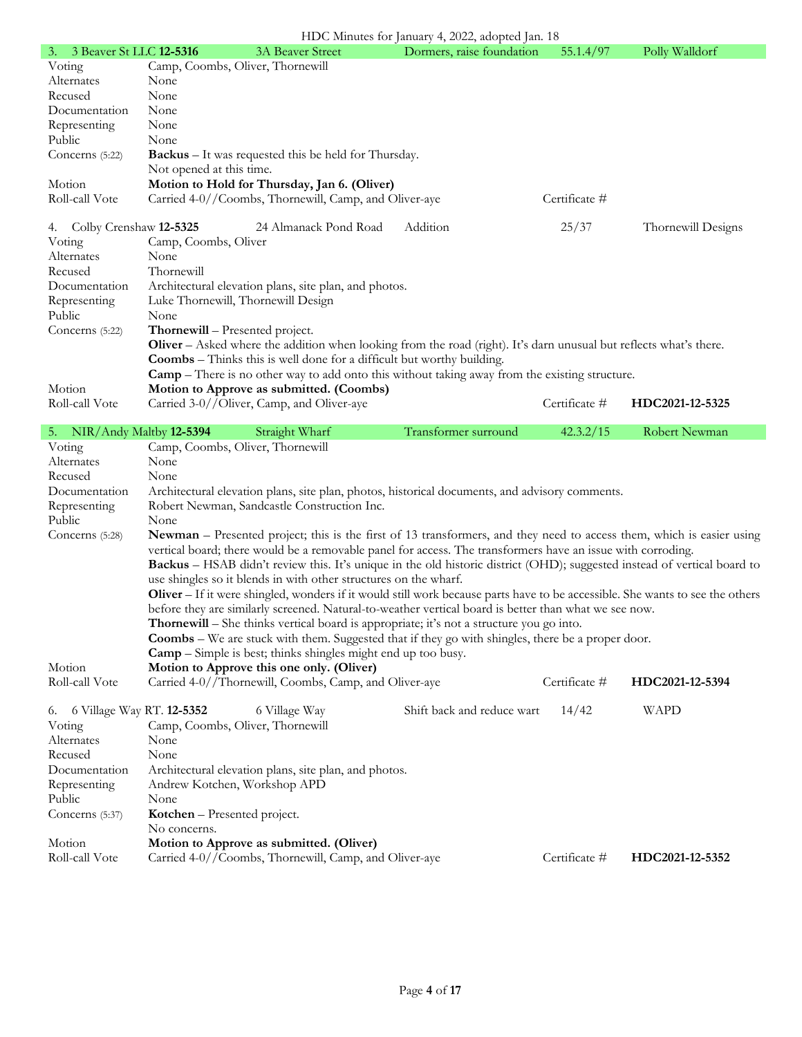## HDC Minutes for January 4, 2022, adopted Jan. 18

|                                        | HDC Minutes for January 4, 2022, adopted Jan. 18                                                                                     |               |                    |
|----------------------------------------|--------------------------------------------------------------------------------------------------------------------------------------|---------------|--------------------|
| 3. 3 Beaver St LLC 12-5316             | Dormers, raise foundation<br><b>3A Beaver Street</b>                                                                                 | 55.1.4/97     | Polly Walldorf     |
| Voting                                 | Camp, Coombs, Oliver, Thornewill                                                                                                     |               |                    |
| Alternates                             | None                                                                                                                                 |               |                    |
| Recused                                | None                                                                                                                                 |               |                    |
| Documentation                          | None                                                                                                                                 |               |                    |
| Representing                           | None                                                                                                                                 |               |                    |
| Public                                 | None                                                                                                                                 |               |                    |
| Concerns (5:22)                        | <b>Backus</b> – It was requested this be held for Thursday.                                                                          |               |                    |
|                                        | Not opened at this time.                                                                                                             |               |                    |
| Motion                                 | Motion to Hold for Thursday, Jan 6. (Oliver)                                                                                         |               |                    |
| Roll-call Vote                         | Carried 4-0//Coombs, Thornewill, Camp, and Oliver-aye                                                                                | Certificate # |                    |
|                                        | 24 Almanack Pond Road<br>Addition                                                                                                    | 25/37         | Thornewill Designs |
| Colby Crenshaw 12-5325<br>4.<br>Voting | Camp, Coombs, Oliver                                                                                                                 |               |                    |
| Alternates                             | None                                                                                                                                 |               |                    |
| Recused                                | Thornewill                                                                                                                           |               |                    |
| Documentation                          | Architectural elevation plans, site plan, and photos.                                                                                |               |                    |
| Representing                           | Luke Thornewill, Thornewill Design                                                                                                   |               |                    |
| Public                                 | None                                                                                                                                 |               |                    |
| Concerns (5:22)                        | <b>Thornewill</b> – Presented project.                                                                                               |               |                    |
|                                        | Oliver – Asked where the addition when looking from the road (right). It's darn unusual but reflects what's there.                   |               |                    |
|                                        | <b>Coombs</b> – Thinks this is well done for a difficult but worthy building.                                                        |               |                    |
|                                        | <b>Camp</b> – There is no other way to add onto this without taking away from the existing structure.                                |               |                    |
| Motion                                 | Motion to Approve as submitted. (Coombs)                                                                                             |               |                    |
| Roll-call Vote                         | Carried 3-0//Oliver, Camp, and Oliver-aye                                                                                            | Certificate # | HDC2021-12-5325    |
|                                        |                                                                                                                                      |               |                    |
| 5. NIR/Andy Maltby 12-5394             | Straight Wharf<br>Transformer surround                                                                                               | 42.3.2/15     | Robert Newman      |
| Voting                                 | Camp, Coombs, Oliver, Thornewill                                                                                                     |               |                    |
|                                        |                                                                                                                                      |               |                    |
| Alternates                             | None                                                                                                                                 |               |                    |
| Recused                                | None                                                                                                                                 |               |                    |
| Documentation                          | Architectural elevation plans, site plan, photos, historical documents, and advisory comments.                                       |               |                    |
| Representing                           | Robert Newman, Sandcastle Construction Inc.                                                                                          |               |                    |
| Public                                 | None                                                                                                                                 |               |                    |
| Concerns (5:28)                        | Newman – Presented project; this is the first of 13 transformers, and they need to access them, which is easier using                |               |                    |
|                                        | vertical board; there would be a removable panel for access. The transformers have an issue with corroding.                          |               |                    |
|                                        | <b>Backus</b> – HSAB didn't review this. It's unique in the old historic district (OHD); suggested instead of vertical board to      |               |                    |
|                                        | use shingles so it blends in with other structures on the wharf.                                                                     |               |                    |
|                                        | <b>Oliver</b> – If it were shingled, wonders if it would still work because parts have to be accessible. She wants to see the others |               |                    |
|                                        | before they are similarly screened. Natural-to-weather vertical board is better than what we see now.                                |               |                    |
|                                        | Thornewill - She thinks vertical board is appropriate; it's not a structure you go into.                                             |               |                    |
|                                        | Coombs - We are stuck with them. Suggested that if they go with shingles, there be a proper door.                                    |               |                    |
|                                        | <b>Camp</b> – Simple is best; thinks shingles might end up too busy.                                                                 |               |                    |
| Motion                                 | Motion to Approve this one only. (Oliver)                                                                                            |               |                    |
| Roll-call Vote                         | Carried 4-0//Thornewill, Coombs, Camp, and Oliver-aye                                                                                | Certificate # | HDC2021-12-5394    |
|                                        |                                                                                                                                      |               |                    |
| 6.                                     | 6 Village Way RT. 12-5352<br>6 Village Way<br>Shift back and reduce wart                                                             | 14/42         | <b>WAPD</b>        |
| Voting                                 | Camp, Coombs, Oliver, Thornewill                                                                                                     |               |                    |
| Alternates                             | None                                                                                                                                 |               |                    |
| Recused                                | None                                                                                                                                 |               |                    |
| Documentation                          | Architectural elevation plans, site plan, and photos.                                                                                |               |                    |
| Representing                           | Andrew Kotchen, Workshop APD                                                                                                         |               |                    |
| Public                                 | None                                                                                                                                 |               |                    |
| Concerns (5:37)                        | Kotchen - Presented project.                                                                                                         |               |                    |
|                                        | No concerns.                                                                                                                         |               |                    |
| Motion<br>Roll-call Vote               | Motion to Approve as submitted. (Oliver)<br>Carried 4-0//Coombs, Thornewill, Camp, and Oliver-aye                                    | Certificate # | HDC2021-12-5352    |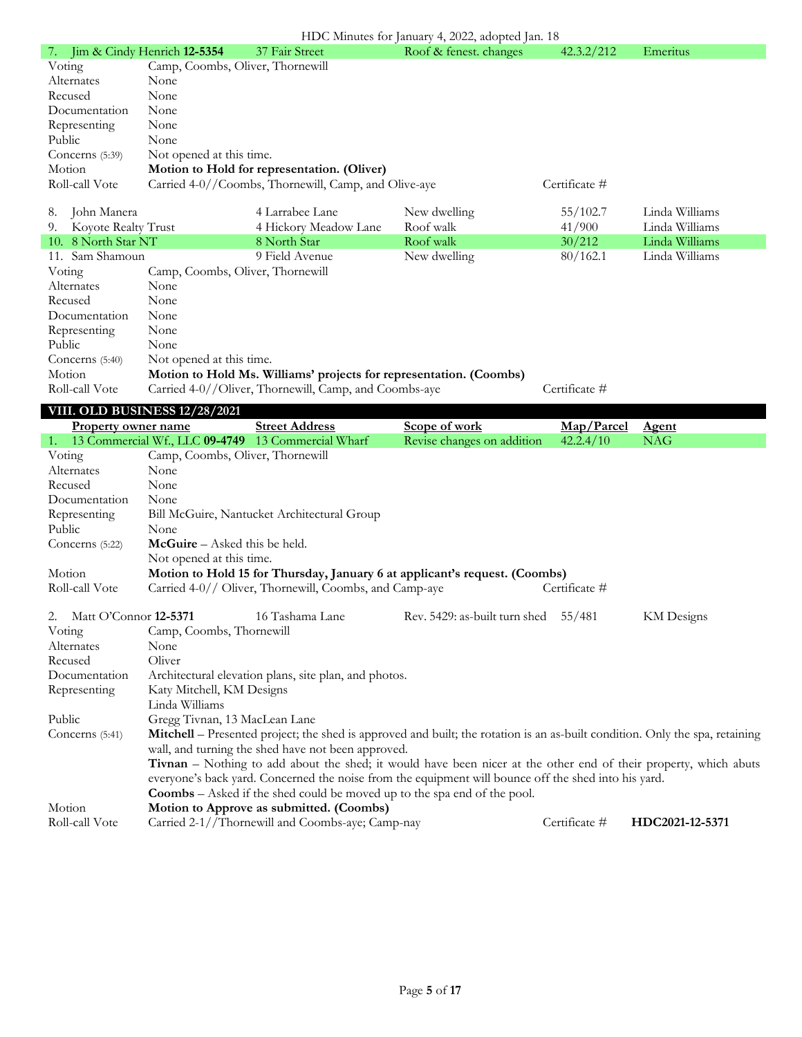|                                            |                                  |                                                                                                                                                                                         | HDC Minutes for January 4, 2022, adopted Jan. 18 |                    |                |
|--------------------------------------------|----------------------------------|-----------------------------------------------------------------------------------------------------------------------------------------------------------------------------------------|--------------------------------------------------|--------------------|----------------|
| 7.                                         | Jim & Cindy Henrich 12-5354      | 37 Fair Street                                                                                                                                                                          | Roof & fenest. changes                           | 42.3.2/212         | Emeritus       |
| Voting                                     | Camp, Coombs, Oliver, Thornewill |                                                                                                                                                                                         |                                                  |                    |                |
| Alternates                                 | None                             |                                                                                                                                                                                         |                                                  |                    |                |
| Recused                                    | None                             |                                                                                                                                                                                         |                                                  |                    |                |
| Documentation                              | None                             |                                                                                                                                                                                         |                                                  |                    |                |
| Representing                               | None                             |                                                                                                                                                                                         |                                                  |                    |                |
| Public                                     | None                             |                                                                                                                                                                                         |                                                  |                    |                |
| Concerns (5:39)                            | Not opened at this time.         |                                                                                                                                                                                         |                                                  |                    |                |
| Motion                                     |                                  | Motion to Hold for representation. (Oliver)                                                                                                                                             |                                                  |                    |                |
| Roll-call Vote                             |                                  | Carried 4-0//Coombs, Thornewill, Camp, and Olive-aye                                                                                                                                    |                                                  | Certificate #      |                |
|                                            |                                  | 4 Larrabee Lane                                                                                                                                                                         |                                                  |                    | Linda Williams |
| John Manera<br>8.<br>9.                    |                                  | 4 Hickory Meadow Lane                                                                                                                                                                   | New dwelling<br>Roof walk                        | 55/102.7<br>41/900 | Linda Williams |
| Koyote Realty Trust<br>10. 8 North Star NT |                                  | 8 North Star                                                                                                                                                                            | Roof walk                                        | 30/212             | Linda Williams |
| 11. Sam Shamoun                            |                                  | 9 Field Avenue                                                                                                                                                                          | New dwelling                                     | 80/162.1           | Linda Williams |
| Voting                                     | Camp, Coombs, Oliver, Thornewill |                                                                                                                                                                                         |                                                  |                    |                |
| Alternates                                 | None                             |                                                                                                                                                                                         |                                                  |                    |                |
| Recused                                    | None                             |                                                                                                                                                                                         |                                                  |                    |                |
| Documentation                              | None                             |                                                                                                                                                                                         |                                                  |                    |                |
| Representing                               | None                             |                                                                                                                                                                                         |                                                  |                    |                |
| Public                                     | None                             |                                                                                                                                                                                         |                                                  |                    |                |
| Concerns (5:40)                            | Not opened at this time.         |                                                                                                                                                                                         |                                                  |                    |                |
| Motion                                     |                                  | Motion to Hold Ms. Williams' projects for representation. (Coombs)                                                                                                                      |                                                  |                    |                |
| Roll-call Vote                             |                                  | Carried 4-0//Oliver, Thornewill, Camp, and Coombs-aye                                                                                                                                   |                                                  | Certificate #      |                |
|                                            | VIII. OLD BUSINESS 12/28/2021    |                                                                                                                                                                                         |                                                  |                    |                |
| <b>Property owner name</b>                 |                                  | <b>Street Address</b>                                                                                                                                                                   | Scope of work                                    | Map/Parcel         | <b>Agent</b>   |
|                                            |                                  | 1. 13 Commercial Wf., LLC 09-4749 13 Commercial Wharf                                                                                                                                   | Revise changes on addition                       | 42.2.4/10          | <b>NAG</b>     |
| Voting                                     | Camp, Coombs, Oliver, Thornewill |                                                                                                                                                                                         |                                                  |                    |                |
| Alternates                                 | None                             |                                                                                                                                                                                         |                                                  |                    |                |
| Recused                                    | None                             |                                                                                                                                                                                         |                                                  |                    |                |
| Documentation                              | None                             |                                                                                                                                                                                         |                                                  |                    |                |
| Representing                               |                                  | Bill McGuire, Nantucket Architectural Group                                                                                                                                             |                                                  |                    |                |
| Public                                     | None                             |                                                                                                                                                                                         |                                                  |                    |                |
| Concerns (5:22)                            | $McGuire - Asked this be held.$  |                                                                                                                                                                                         |                                                  |                    |                |
|                                            | Not opened at this time.         |                                                                                                                                                                                         |                                                  |                    |                |
| Motion                                     |                                  |                                                                                                                                                                                         |                                                  |                    |                |
|                                            |                                  | Motion to Hold 15 for Thursday, January 6 at applicant's request. (Coombs)                                                                                                              |                                                  |                    |                |
| Roll-call Vote                             |                                  | Carried 4-0// Oliver, Thornewill, Coombs, and Camp-aye                                                                                                                                  |                                                  | Certificate #      |                |
|                                            |                                  |                                                                                                                                                                                         |                                                  |                    |                |
| 2. Matt O'Connor 12-5371                   |                                  | 16 Tashama Lane                                                                                                                                                                         | Rev. 5429: as-built turn shed 55/481             |                    | KM Designs     |
| Voting                                     | Camp, Coombs, Thornewill         |                                                                                                                                                                                         |                                                  |                    |                |
| Alternates                                 | None                             |                                                                                                                                                                                         |                                                  |                    |                |
| Recused                                    | Oliver                           |                                                                                                                                                                                         |                                                  |                    |                |
| Documentation                              |                                  | Architectural elevation plans, site plan, and photos.                                                                                                                                   |                                                  |                    |                |
| Representing                               | Katy Mitchell, KM Designs        |                                                                                                                                                                                         |                                                  |                    |                |
|                                            | Linda Williams                   |                                                                                                                                                                                         |                                                  |                    |                |
| Public                                     | Gregg Tivnan, 13 MacLean Lane    |                                                                                                                                                                                         |                                                  |                    |                |
| Concerns (5:41)                            |                                  | Mitchell – Presented project; the shed is approved and built; the rotation is an as-built condition. Only the spa, retaining                                                            |                                                  |                    |                |
|                                            |                                  | wall, and turning the shed have not been approved.                                                                                                                                      |                                                  |                    |                |
|                                            |                                  | Tivnan - Nothing to add about the shed; it would have been nicer at the other end of their property, which abuts                                                                        |                                                  |                    |                |
|                                            |                                  | everyone's back yard. Concerned the noise from the equipment will bounce off the shed into his yard.<br><b>Coombs</b> – Asked if the shed could be moved up to the spa end of the pool. |                                                  |                    |                |

Roll-call Vote Carried 2-1//Thornewill and Coombs-aye; Camp-nay Certificate # **HDC2021-12-5371**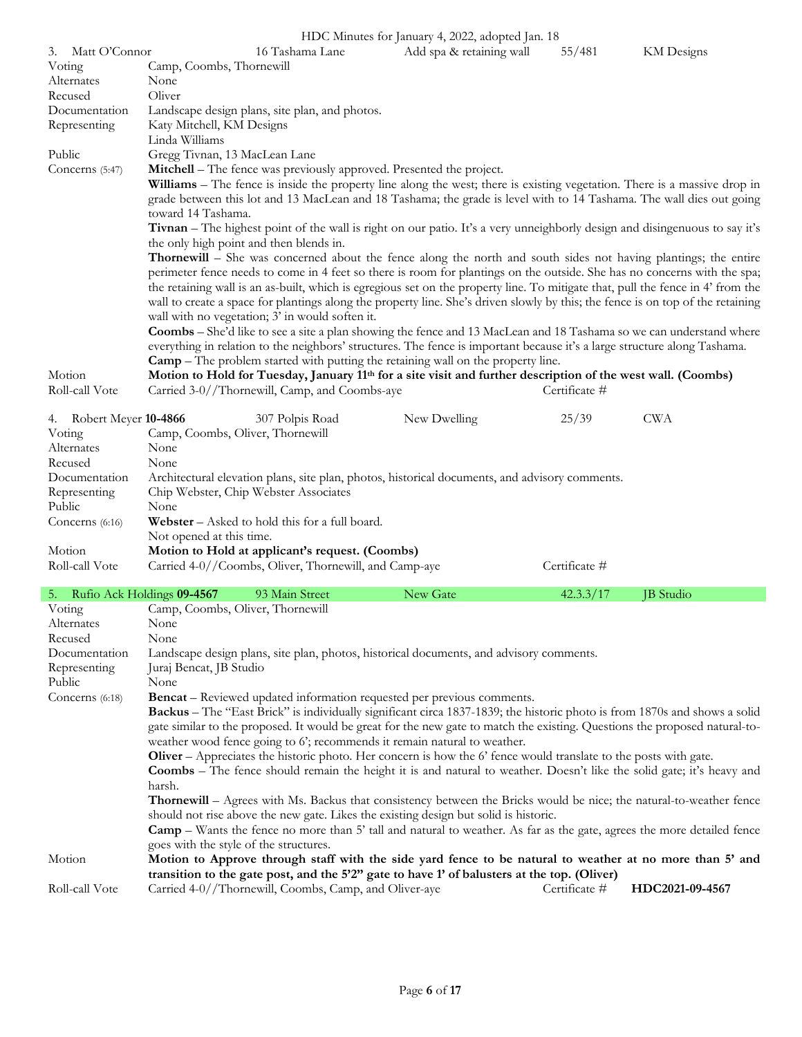|                         |                                                                                                                                   | HDC Minutes for January 4, 2022, adopted Jan. 18 |               |                   |
|-------------------------|-----------------------------------------------------------------------------------------------------------------------------------|--------------------------------------------------|---------------|-------------------|
| Matt O'Connor<br>3.     | 16 Tashama Lane                                                                                                                   | Add spa & retaining wall                         | 55/481        | <b>KM</b> Designs |
| Voting                  | Camp, Coombs, Thornewill                                                                                                          |                                                  |               |                   |
| Alternates              | None                                                                                                                              |                                                  |               |                   |
| Recused                 | Oliver                                                                                                                            |                                                  |               |                   |
| Documentation           | Landscape design plans, site plan, and photos.                                                                                    |                                                  |               |                   |
| Representing            | Katy Mitchell, KM Designs                                                                                                         |                                                  |               |                   |
|                         | Linda Williams                                                                                                                    |                                                  |               |                   |
| Public                  | Gregg Tivnan, 13 MacLean Lane                                                                                                     |                                                  |               |                   |
| Concerns (5:47)         | Mitchell - The fence was previously approved. Presented the project.                                                              |                                                  |               |                   |
|                         | Williams – The fence is inside the property line along the west; there is existing vegetation. There is a massive drop in         |                                                  |               |                   |
|                         | grade between this lot and 13 MacLean and 18 Tashama; the grade is level with to 14 Tashama. The wall dies out going              |                                                  |               |                   |
|                         | toward 14 Tashama.                                                                                                                |                                                  |               |                   |
|                         | <b>Tivnan</b> – The highest point of the wall is right on our patio. It's a very unneighborly design and disingenuous to say it's |                                                  |               |                   |
|                         | the only high point and then blends in.                                                                                           |                                                  |               |                   |
|                         | <b>Thornewill</b> – She was concerned about the fence along the north and south sides not having plantings; the entire            |                                                  |               |                   |
|                         | perimeter fence needs to come in 4 feet so there is room for plantings on the outside. She has no concerns with the spa;          |                                                  |               |                   |
|                         | the retaining wall is an as-built, which is egregious set on the property line. To mitigate that, pull the fence in 4' from the   |                                                  |               |                   |
|                         | wall to create a space for plantings along the property line. She's driven slowly by this; the fence is on top of the retaining   |                                                  |               |                   |
|                         | wall with no vegetation; 3' in would soften it.                                                                                   |                                                  |               |                   |
|                         | <b>Coombs</b> – She'd like to see a site a plan showing the fence and 13 MacLean and 18 Tashama so we can understand where        |                                                  |               |                   |
|                         | everything in relation to the neighbors' structures. The fence is important because it's a large structure along Tashama.         |                                                  |               |                   |
|                         | Camp - The problem started with putting the retaining wall on the property line.                                                  |                                                  |               |                   |
| Motion                  | Motion to Hold for Tuesday, January 11 <sup>th</sup> for a site visit and further description of the west wall. (Coombs)          |                                                  |               |                   |
| Roll-call Vote          | Carried 3-0//Thornewill, Camp, and Coombs-aye                                                                                     |                                                  | Certificate # |                   |
|                         |                                                                                                                                   |                                                  |               |                   |
| 4. Robert Meyer 10-4866 | 307 Polpis Road                                                                                                                   | New Dwelling                                     | 25/39         | <b>CWA</b>        |
| Voting                  | Camp, Coombs, Oliver, Thornewill                                                                                                  |                                                  |               |                   |
| Alternates              | None                                                                                                                              |                                                  |               |                   |
| Recused                 | None                                                                                                                              |                                                  |               |                   |
| Documentation           | Architectural elevation plans, site plan, photos, historical documents, and advisory comments.                                    |                                                  |               |                   |
| Representing            | Chip Webster, Chip Webster Associates                                                                                             |                                                  |               |                   |
| Public                  | None                                                                                                                              |                                                  |               |                   |
| Concerns $(6:16)$       | Webster - Asked to hold this for a full board.                                                                                    |                                                  |               |                   |
|                         | Not opened at this time.                                                                                                          |                                                  |               |                   |
| Motion                  | Motion to Hold at applicant's request. (Coombs)                                                                                   |                                                  |               |                   |
| Roll-call Vote          | Carried 4-0//Coombs, Oliver, Thornewill, and Camp-aye                                                                             |                                                  | Certificate # |                   |
|                         |                                                                                                                                   |                                                  |               |                   |
| 5.                      | 93 Main Street<br>Rufio Ack Holdings 09-4567                                                                                      | New Gate                                         | 42.3.3/17     | JB Studio         |
| Voting                  | Camp, Coombs, Oliver, Thornewill                                                                                                  |                                                  |               |                   |
| Alternates              | None                                                                                                                              |                                                  |               |                   |
| Recused                 | None                                                                                                                              |                                                  |               |                   |
| Documentation           | Landscape design plans, site plan, photos, historical documents, and advisory comments.                                           |                                                  |               |                   |
| Representing            | Juraj Bencat, JB Studio                                                                                                           |                                                  |               |                   |
| Public                  | None                                                                                                                              |                                                  |               |                   |
| Concerns (6:18)         | <b>Bencat</b> – Reviewed updated information requested per previous comments.                                                     |                                                  |               |                   |
|                         | Backus - The "East Brick" is individually significant circa 1837-1839; the historic photo is from 1870s and shows a solid         |                                                  |               |                   |
|                         | gate similar to the proposed. It would be great for the new gate to match the existing. Questions the proposed natural-to-        |                                                  |               |                   |
|                         | weather wood fence going to 6'; recommends it remain natural to weather.                                                          |                                                  |               |                   |
|                         | Oliver – Appreciates the historic photo. Her concern is how the $6'$ fence would translate to the posts with gate.                |                                                  |               |                   |
|                         | <b>Coombs</b> – The fence should remain the height it is and natural to weather. Doesn't like the solid gate; it's heavy and      |                                                  |               |                   |

Motion **Motion to Approve through staff with the side yard fence to be natural to weather at no more than 5' and** 

**transition to the gate post, and the 5'2" gate to have 1' of balusters at the top. (Oliver)** Roll-call Vote Carried 4-0//Thornewill, Coombs, Camp, and Oliver-aye Certificate # **HDC2021-09-4567** 

**Thornewill** – Agrees with Ms. Backus that consistency between the Bricks would be nice; the natural-to-weather fence

**Camp** – Wants the fence no more than 5' tall and natural to weather. As far as the gate, agrees the more detailed fence

should not rise above the new gate. Likes the existing design but solid is historic.

harsh.

goes with the style of the structures.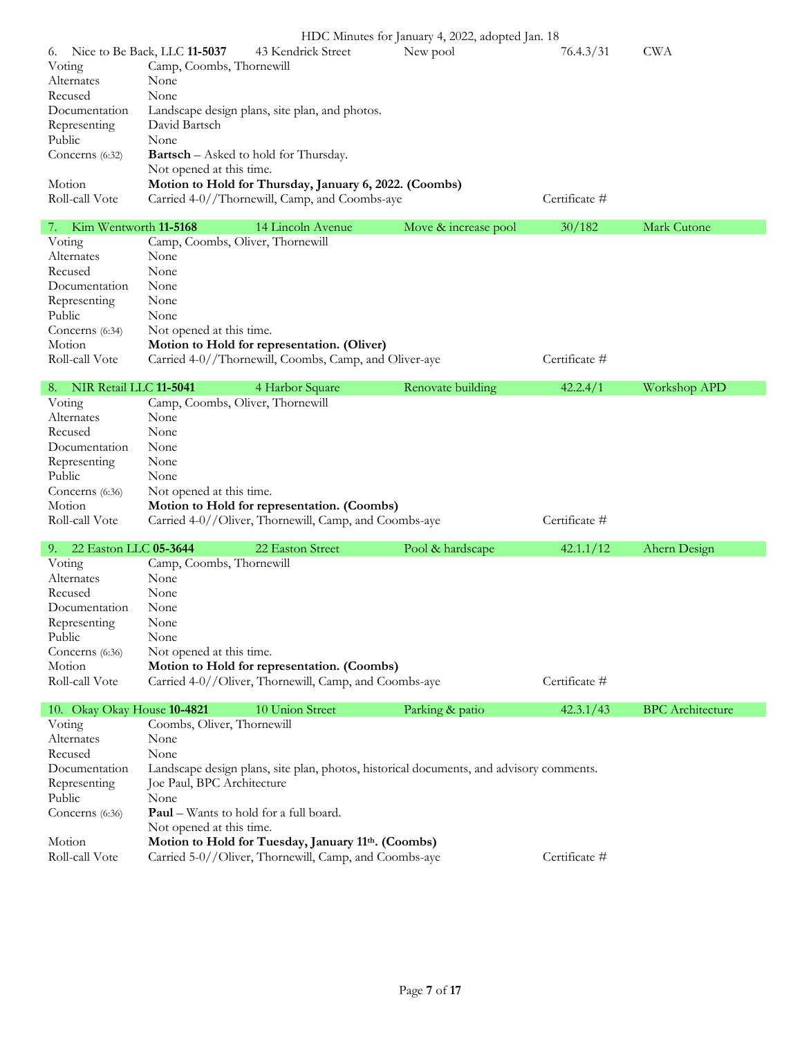|                              |                                                                                         | HDC Minutes for January 4, 2022, adopted Jan. 18 |               |                         |
|------------------------------|-----------------------------------------------------------------------------------------|--------------------------------------------------|---------------|-------------------------|
| 6.                           | 43 Kendrick Street<br>Nice to Be Back, LLC 11-5037                                      | New pool                                         | 76.4.3/31     | <b>CWA</b>              |
| Voting                       | Camp, Coombs, Thornewill                                                                |                                                  |               |                         |
| Alternates                   | None                                                                                    |                                                  |               |                         |
| Recused                      | None                                                                                    |                                                  |               |                         |
|                              |                                                                                         |                                                  |               |                         |
| Documentation                | Landscape design plans, site plan, and photos.                                          |                                                  |               |                         |
| Representing                 | David Bartsch                                                                           |                                                  |               |                         |
| Public                       | None                                                                                    |                                                  |               |                         |
| Concerns (6:32)              | <b>Bartsch</b> – Asked to hold for Thursday.                                            |                                                  |               |                         |
|                              | Not opened at this time.                                                                |                                                  |               |                         |
| Motion                       | Motion to Hold for Thursday, January 6, 2022. (Coombs)                                  |                                                  |               |                         |
| Roll-call Vote               | Carried 4-0//Thornewill, Camp, and Coombs-aye                                           |                                                  | Certificate # |                         |
|                              |                                                                                         |                                                  |               |                         |
| Kim Wentworth 11-5168<br>7.  | 14 Lincoln Avenue                                                                       | Move & increase pool                             | 30/182        | Mark Cutone             |
| Voting                       | Camp, Coombs, Oliver, Thornewill                                                        |                                                  |               |                         |
| Alternates                   | None                                                                                    |                                                  |               |                         |
| Recused                      | None                                                                                    |                                                  |               |                         |
| Documentation                | None                                                                                    |                                                  |               |                         |
| Representing                 | None                                                                                    |                                                  |               |                         |
| Public                       | None                                                                                    |                                                  |               |                         |
| Concerns (6:34)              | Not opened at this time.                                                                |                                                  |               |                         |
| Motion                       | Motion to Hold for representation. (Oliver)                                             |                                                  |               |                         |
| Roll-call Vote               | Carried 4-0//Thornewill, Coombs, Camp, and Oliver-aye                                   |                                                  | Certificate # |                         |
|                              |                                                                                         |                                                  |               |                         |
| NIR Retail LLC 11-5041<br>8. | 4 Harbor Square                                                                         | Renovate building                                | 42.2.4/1      | Workshop APD            |
| Voting                       | Camp, Coombs, Oliver, Thornewill                                                        |                                                  |               |                         |
| Alternates                   | None                                                                                    |                                                  |               |                         |
| Recused                      | None                                                                                    |                                                  |               |                         |
| Documentation                | None                                                                                    |                                                  |               |                         |
| Representing                 | None                                                                                    |                                                  |               |                         |
| Public                       | None                                                                                    |                                                  |               |                         |
| Concerns (6:36)              | Not opened at this time.                                                                |                                                  |               |                         |
| Motion                       | Motion to Hold for representation. (Coombs)                                             |                                                  |               |                         |
| Roll-call Vote               |                                                                                         |                                                  | Certificate # |                         |
|                              | Carried 4-0//Oliver, Thornewill, Camp, and Coombs-aye                                   |                                                  |               |                         |
| 22 Easton LLC 05-3644<br>9.  | 22 Easton Street                                                                        | Pool & hardscape                                 | 42.1.1/12     | Ahern Design            |
| Voting                       | Camp, Coombs, Thornewill                                                                |                                                  |               |                         |
| Alternates                   | None                                                                                    |                                                  |               |                         |
| Recused                      | None                                                                                    |                                                  |               |                         |
| Documentation                | None                                                                                    |                                                  |               |                         |
|                              |                                                                                         |                                                  |               |                         |
| Representing<br>Public       | None<br>None                                                                            |                                                  |               |                         |
|                              |                                                                                         |                                                  |               |                         |
| Concerns (6:36)              | Not opened at this time.                                                                |                                                  |               |                         |
| Motion                       | Motion to Hold for representation. (Coombs)                                             |                                                  |               |                         |
| Roll-call Vote               | Carried 4-0//Oliver, Thornewill, Camp, and Coombs-aye                                   |                                                  | Certificate # |                         |
| 10. Okay Okay House 10-4821  | 10 Union Street                                                                         | Parking & patio                                  | 42.3.1/43     | <b>BPC</b> Architecture |
|                              | Coombs, Oliver, Thornewill                                                              |                                                  |               |                         |
| Voting<br>Alternates         | None                                                                                    |                                                  |               |                         |
| Recused                      |                                                                                         |                                                  |               |                         |
|                              | None                                                                                    |                                                  |               |                         |
| Documentation                | Landscape design plans, site plan, photos, historical documents, and advisory comments. |                                                  |               |                         |
| Representing                 | Joe Paul, BPC Architecture                                                              |                                                  |               |                         |
| Public                       | None                                                                                    |                                                  |               |                         |
| Concerns (6:36)              | <b>Paul</b> – Wants to hold for a full board.                                           |                                                  |               |                         |
|                              | Not opened at this time.                                                                |                                                  |               |                         |
| Motion                       | Motion to Hold for Tuesday, January 11th. (Coombs)                                      |                                                  |               |                         |

Roll-call Vote Carried 5-0//Oliver, Thornewill, Camp, and Coombs-aye Certificate #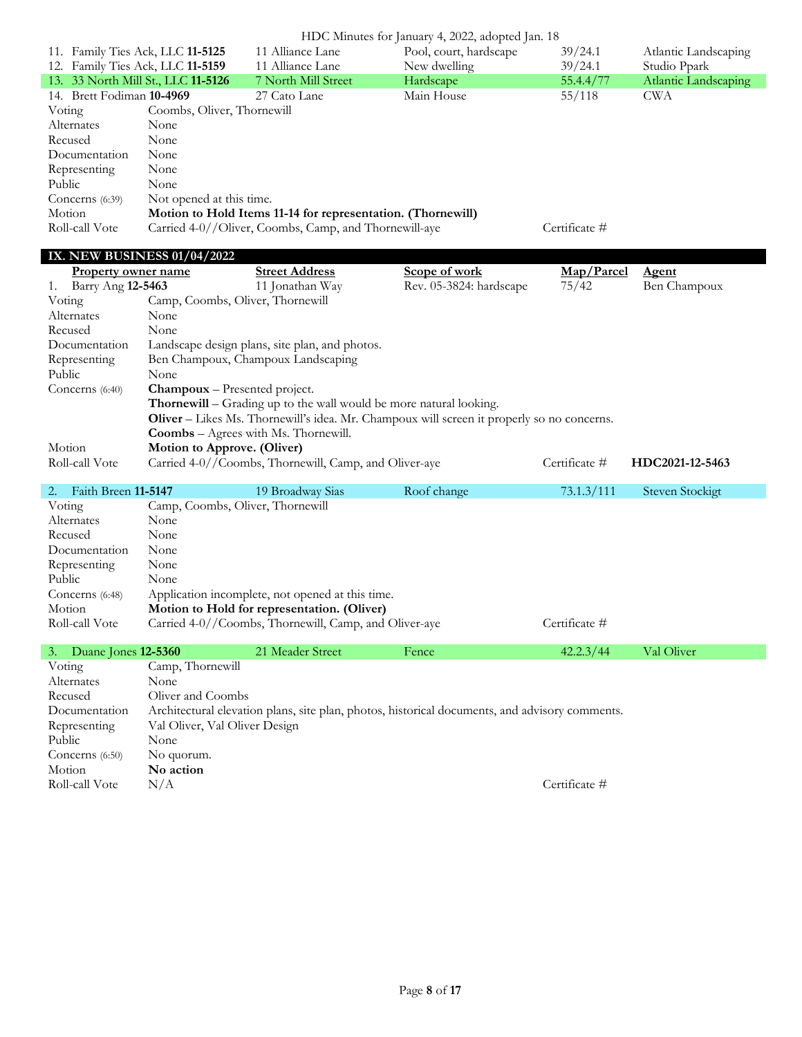|                                    |                                       |                                                                           | HDC Minutes for January 4, 2022, adopted Jan. 18                                               |               |                             |
|------------------------------------|---------------------------------------|---------------------------------------------------------------------------|------------------------------------------------------------------------------------------------|---------------|-----------------------------|
|                                    | 11. Family Ties Ack, LLC 11-5125      | 11 Alliance Lane                                                          | Pool, court, hardscape                                                                         | 39/24.1       | Atlantic Landscaping        |
| 12. Family Ties Ack, LLC 11-5159   |                                       | 11 Alliance Lane                                                          | New dwelling                                                                                   | 39/24.1       | Studio Ppark                |
| 13. 33 North Mill St., LLC 11-5126 |                                       | 7 North Mill Street                                                       | Hardscape                                                                                      | 55.4.4/77     | <b>Atlantic Landscaping</b> |
| 14. Brett Fodiman 10-4969          |                                       | 27 Cato Lane                                                              | Main House                                                                                     | 55/118        | <b>CWA</b>                  |
| Voting                             | Coombs, Oliver, Thornewill            |                                                                           |                                                                                                |               |                             |
| Alternates                         | None                                  |                                                                           |                                                                                                |               |                             |
| Recused                            | None                                  |                                                                           |                                                                                                |               |                             |
| Documentation                      | None                                  |                                                                           |                                                                                                |               |                             |
| Representing                       | None                                  |                                                                           |                                                                                                |               |                             |
| Public                             | None                                  |                                                                           |                                                                                                |               |                             |
| Concerns (6:39)                    | Not opened at this time.              |                                                                           |                                                                                                |               |                             |
| Motion                             |                                       | Motion to Hold Items 11-14 for representation. (Thornewill)               |                                                                                                |               |                             |
| Roll-call Vote                     |                                       | Carried 4-0//Oliver, Coombs, Camp, and Thornewill-aye                     |                                                                                                | Certificate # |                             |
|                                    |                                       |                                                                           |                                                                                                |               |                             |
|                                    | IX. NEW BUSINESS 01/04/2022           |                                                                           |                                                                                                |               |                             |
| <b>Property owner name</b>         |                                       | <b>Street Address</b>                                                     | Scope of work                                                                                  | Map/Parcel    | <b>Agent</b>                |
| Barry Ang 12-5463<br>1.            |                                       | 11 Jonathan Way                                                           | Rev. 05-3824: hardscape                                                                        | 75/42         | Ben Champoux                |
| Voting                             | Camp, Coombs, Oliver, Thornewill      |                                                                           |                                                                                                |               |                             |
| Alternates                         | None                                  |                                                                           |                                                                                                |               |                             |
| Recused                            | None                                  |                                                                           |                                                                                                |               |                             |
| Documentation                      |                                       | Landscape design plans, site plan, and photos.                            |                                                                                                |               |                             |
| Representing                       |                                       | Ben Champoux, Champoux Landscaping                                        |                                                                                                |               |                             |
| Public                             | None                                  |                                                                           |                                                                                                |               |                             |
| Concerns (6:40)                    | Champoux - Presented project.         |                                                                           |                                                                                                |               |                             |
|                                    |                                       | <b>Thornewill</b> – Grading up to the wall would be more natural looking. |                                                                                                |               |                             |
|                                    |                                       |                                                                           | Oliver - Likes Ms. Thornewill's idea. Mr. Champoux will screen it properly so no concerns.     |               |                             |
|                                    |                                       |                                                                           |                                                                                                |               |                             |
|                                    |                                       | <b>Coombs</b> – Agrees with Ms. Thornewill.                               |                                                                                                |               |                             |
| Motion                             | Motion to Approve. (Oliver)           |                                                                           |                                                                                                |               |                             |
| Roll-call Vote                     |                                       | Carried 4-0//Coombs, Thornewill, Camp, and Oliver-aye                     |                                                                                                | Certificate # | HDC2021-12-5463             |
|                                    |                                       |                                                                           |                                                                                                |               |                             |
| Faith Breen 11-5147<br>2.          |                                       | 19 Broadway Sias                                                          | Roof change                                                                                    | 73.1.3/111    | Steven Stockigt             |
| Voting                             | Camp, Coombs, Oliver, Thornewill      |                                                                           |                                                                                                |               |                             |
| Alternates                         | None                                  |                                                                           |                                                                                                |               |                             |
| Recused                            | None                                  |                                                                           |                                                                                                |               |                             |
| Documentation                      | None                                  |                                                                           |                                                                                                |               |                             |
| Representing                       | None                                  |                                                                           |                                                                                                |               |                             |
| Public                             | None                                  |                                                                           |                                                                                                |               |                             |
| Concerns (6:48)                    |                                       | Application incomplete, not opened at this time.                          |                                                                                                |               |                             |
| Motion                             |                                       | Motion to Hold for representation. (Oliver)                               |                                                                                                |               |                             |
| Roll-call Vote                     |                                       | Carried 4-0//Coombs, Thornewill, Camp, and Oliver-aye                     |                                                                                                | Certificate # |                             |
| 3.                                 |                                       |                                                                           |                                                                                                |               |                             |
| Duane Jones 12-5360                |                                       | 21 Meader Street                                                          | Fence                                                                                          | 42.2.3/44     | Val Oliver                  |
| Voting<br>Alternates               | Camp, Thornewill<br>None              |                                                                           |                                                                                                |               |                             |
| Recused                            | Oliver and Coombs                     |                                                                           |                                                                                                |               |                             |
| Documentation                      |                                       |                                                                           |                                                                                                |               |                             |
|                                    |                                       |                                                                           | Architectural elevation plans, site plan, photos, historical documents, and advisory comments. |               |                             |
| Representing<br>Public             | Val Oliver, Val Oliver Design<br>None |                                                                           |                                                                                                |               |                             |

Roll-call Vote  $N/A$  Certificate #

Concerns (6:50)<br>Motion

**No action N/A**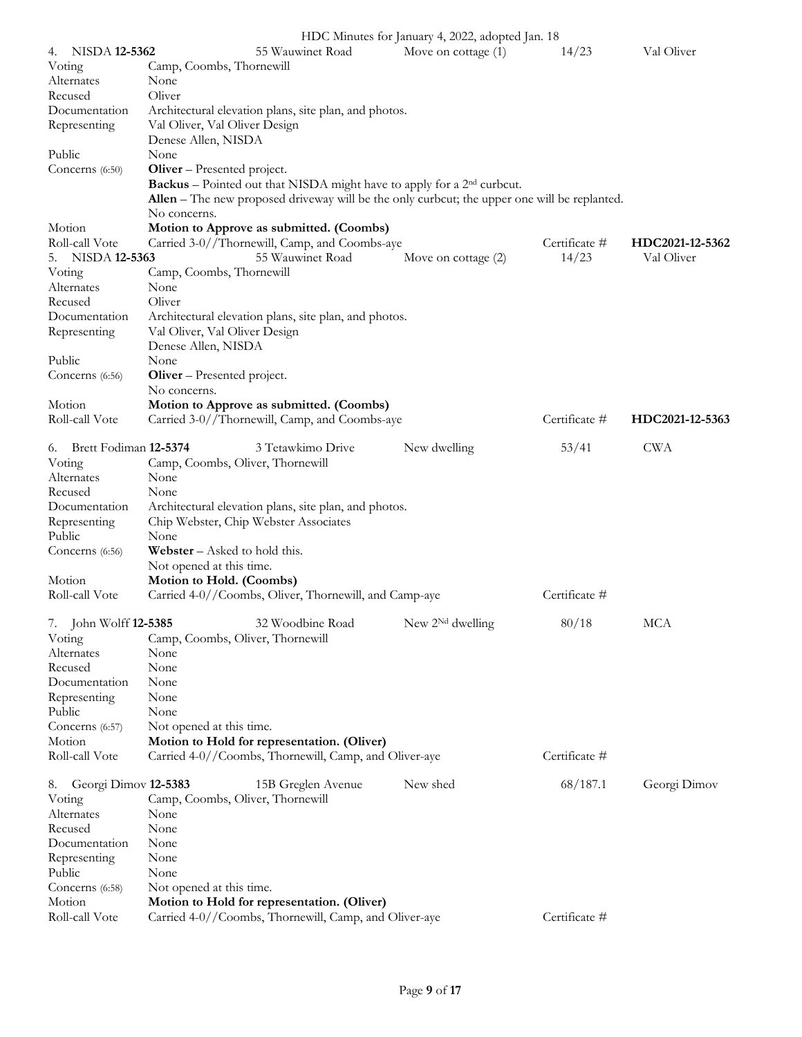|                                 |                                                                                              | HDC Minutes for January 4, 2022, adopted Jan. 18 |               |                 |
|---------------------------------|----------------------------------------------------------------------------------------------|--------------------------------------------------|---------------|-----------------|
| NISDA <b>12-5362</b><br>4.      | 55 Wauwinet Road                                                                             | Move on cottage (1)                              | 14/23         | Val Oliver      |
| Voting                          | Camp, Coombs, Thornewill                                                                     |                                                  |               |                 |
| Alternates                      | None                                                                                         |                                                  |               |                 |
| Recused                         | Oliver                                                                                       |                                                  |               |                 |
| Documentation                   | Architectural elevation plans, site plan, and photos.                                        |                                                  |               |                 |
| Representing                    | Val Oliver, Val Oliver Design                                                                |                                                  |               |                 |
|                                 | Denese Allen, NISDA                                                                          |                                                  |               |                 |
| Public                          | None                                                                                         |                                                  |               |                 |
| Concerns (6:50)                 | Oliver - Presented project.                                                                  |                                                  |               |                 |
|                                 | <b>Backus</b> – Pointed out that NISDA might have to apply for a $2nd$ curbcut.              |                                                  |               |                 |
|                                 | Allen - The new proposed driveway will be the only curbcut; the upper one will be replanted. |                                                  |               |                 |
|                                 | No concerns.                                                                                 |                                                  |               |                 |
| Motion                          | Motion to Approve as submitted. (Coombs)                                                     |                                                  |               |                 |
| Roll-call Vote                  | Carried 3-0//Thornewill, Camp, and Coombs-aye                                                |                                                  | Certificate # | HDC2021-12-5362 |
| NISDA <b>12-5363</b><br>5.      | 55 Wauwinet Road                                                                             | Move on cottage (2)                              | 14/23         | Val Oliver      |
| Voting                          | Camp, Coombs, Thornewill                                                                     |                                                  |               |                 |
| Alternates                      | None                                                                                         |                                                  |               |                 |
| Recused                         | Oliver                                                                                       |                                                  |               |                 |
| Documentation                   | Architectural elevation plans, site plan, and photos.                                        |                                                  |               |                 |
| Representing                    | Val Oliver, Val Oliver Design                                                                |                                                  |               |                 |
|                                 | Denese Allen, NISDA                                                                          |                                                  |               |                 |
| Public                          | None                                                                                         |                                                  |               |                 |
| Concerns (6:56)                 | <b>Oliver</b> – Presented project.                                                           |                                                  |               |                 |
|                                 | No concerns.                                                                                 |                                                  |               |                 |
| Motion                          | Motion to Approve as submitted. (Coombs)                                                     |                                                  |               |                 |
| Roll-call Vote                  | Carried 3-0//Thornewill, Camp, and Coombs-aye                                                |                                                  | Certificate # | HDC2021-12-5363 |
|                                 |                                                                                              |                                                  |               |                 |
| 6. Brett Fodiman 12-5374        | 3 Tetawkimo Drive                                                                            | New dwelling                                     | 53/41         | <b>CWA</b>      |
| Voting                          | Camp, Coombs, Oliver, Thornewill                                                             |                                                  |               |                 |
| Alternates                      | None                                                                                         |                                                  |               |                 |
| Recused                         | None                                                                                         |                                                  |               |                 |
| Documentation                   | Architectural elevation plans, site plan, and photos.                                        |                                                  |               |                 |
| Representing                    | Chip Webster, Chip Webster Associates                                                        |                                                  |               |                 |
| Public                          | None                                                                                         |                                                  |               |                 |
| Concerns (6:56)                 | <b>Webster</b> – Asked to hold this.                                                         |                                                  |               |                 |
|                                 | Not opened at this time.                                                                     |                                                  |               |                 |
| Motion                          | Motion to Hold. (Coombs)                                                                     |                                                  |               |                 |
| Roll-call Vote                  | Carried 4-0//Coombs, Oliver, Thornewill, and Camp-aye                                        |                                                  | Certificate # |                 |
|                                 |                                                                                              |                                                  |               |                 |
| John Wolff <b>12-5385</b><br>7. | 32 Woodbine Road                                                                             | New $2^{Nd}$ dwelling                            | 80/18         | MCA             |
| Voting                          | Camp, Coombs, Oliver, Thornewill                                                             |                                                  |               |                 |
| Alternates                      | None                                                                                         |                                                  |               |                 |
| Recused                         | None                                                                                         |                                                  |               |                 |
| Documentation                   | None                                                                                         |                                                  |               |                 |
| Representing                    | None                                                                                         |                                                  |               |                 |
| Public                          | None                                                                                         |                                                  |               |                 |
| Concerns (6:57)                 | Not opened at this time.                                                                     |                                                  |               |                 |
| Motion                          | Motion to Hold for representation. (Oliver)                                                  |                                                  |               |                 |
| Roll-call Vote                  | Carried 4-0//Coombs, Thornewill, Camp, and Oliver-aye                                        |                                                  | Certificate # |                 |
|                                 |                                                                                              |                                                  |               |                 |
| Georgi Dimov 12-5383<br>8.      | 15B Greglen Avenue                                                                           | New shed                                         | 68/187.1      | Georgi Dimov    |
| Voting                          | Camp, Coombs, Oliver, Thornewill                                                             |                                                  |               |                 |
| Alternates                      | None                                                                                         |                                                  |               |                 |
| Recused                         | None                                                                                         |                                                  |               |                 |
| Documentation                   | None                                                                                         |                                                  |               |                 |
| Representing                    | None                                                                                         |                                                  |               |                 |
| Public                          | None                                                                                         |                                                  |               |                 |
| Concerns (6:58)                 | Not opened at this time.                                                                     |                                                  |               |                 |
| Motion                          | Motion to Hold for representation. (Oliver)                                                  |                                                  |               |                 |
| Roll-call Vote                  | Carried 4-0//Coombs, Thornewill, Camp, and Oliver-aye                                        |                                                  | Certificate # |                 |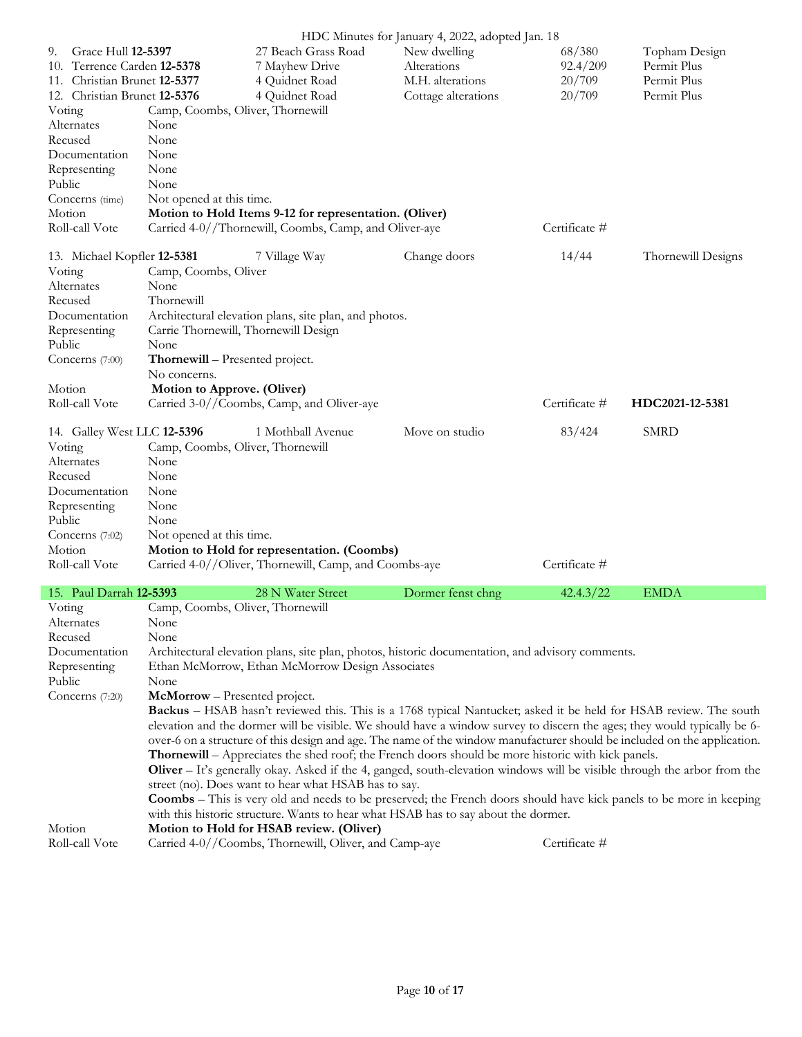|                              |                               |                                                                                                                            | HDC Minutes for January 4, 2022, adopted Jan. 18 |               |                    |
|------------------------------|-------------------------------|----------------------------------------------------------------------------------------------------------------------------|--------------------------------------------------|---------------|--------------------|
| Grace Hull 12-5397<br>9.     |                               | 27 Beach Grass Road                                                                                                        | New dwelling                                     | 68/380        | Topham Design      |
| 10. Terrence Carden 12-5378  |                               | 7 Mayhew Drive                                                                                                             | Alterations                                      | 92.4/209      | Permit Plus        |
| 11. Christian Brunet 12-5377 |                               | 4 Quidnet Road                                                                                                             | M.H. alterations                                 | 20/709        | Permit Plus        |
| 12. Christian Brunet 12-5376 |                               | 4 Quidnet Road                                                                                                             | Cottage alterations                              | 20/709        | Permit Plus        |
| Voting                       |                               | Camp, Coombs, Oliver, Thornewill                                                                                           |                                                  |               |                    |
| Alternates                   | None                          |                                                                                                                            |                                                  |               |                    |
| Recused                      | None                          |                                                                                                                            |                                                  |               |                    |
| Documentation                | None                          |                                                                                                                            |                                                  |               |                    |
| Representing                 | None                          |                                                                                                                            |                                                  |               |                    |
| Public                       | None                          |                                                                                                                            |                                                  |               |                    |
|                              |                               |                                                                                                                            |                                                  |               |                    |
| Concerns (time)<br>Motion    | Not opened at this time.      | Motion to Hold Items 9-12 for representation. (Oliver)                                                                     |                                                  |               |                    |
| Roll-call Vote               |                               | Carried 4-0//Thornewill, Coombs, Camp, and Oliver-aye                                                                      |                                                  | Certificate # |                    |
| 13. Michael Kopfler 12-5381  |                               | 7 Village Way                                                                                                              | Change doors                                     | 14/44         | Thornewill Designs |
| Voting                       | Camp, Coombs, Oliver          |                                                                                                                            |                                                  |               |                    |
| Alternates                   | None                          |                                                                                                                            |                                                  |               |                    |
| Recused                      | Thornewill                    |                                                                                                                            |                                                  |               |                    |
| Documentation                |                               | Architectural elevation plans, site plan, and photos.                                                                      |                                                  |               |                    |
| Representing                 |                               | Carrie Thornewill, Thornewill Design                                                                                       |                                                  |               |                    |
| Public                       | None                          |                                                                                                                            |                                                  |               |                    |
| Concerns (7:00)              |                               | Thornewill - Presented project.                                                                                            |                                                  |               |                    |
|                              | No concerns.                  |                                                                                                                            |                                                  |               |                    |
| Motion                       | Motion to Approve. (Oliver)   |                                                                                                                            |                                                  |               |                    |
| Roll-call Vote               |                               | Carried 3-0//Coombs, Camp, and Oliver-aye                                                                                  |                                                  | Certificate # | HDC2021-12-5381    |
| 14. Galley West LLC 12-5396  |                               | 1 Mothball Avenue                                                                                                          | Move on studio                                   | 83/424        | <b>SMRD</b>        |
| Voting                       |                               | Camp, Coombs, Oliver, Thornewill                                                                                           |                                                  |               |                    |
| Alternates                   | None                          |                                                                                                                            |                                                  |               |                    |
| Recused                      | None                          |                                                                                                                            |                                                  |               |                    |
| Documentation                | None                          |                                                                                                                            |                                                  |               |                    |
| Representing                 | None                          |                                                                                                                            |                                                  |               |                    |
| Public                       |                               |                                                                                                                            |                                                  |               |                    |
|                              | None                          |                                                                                                                            |                                                  |               |                    |
| Concerns $(7:02)$            | Not opened at this time.      |                                                                                                                            |                                                  |               |                    |
| Motion                       |                               | Motion to Hold for representation. (Coombs)                                                                                |                                                  | Certificate # |                    |
| Roll-call Vote               |                               | Carried 4-0//Oliver, Thornewill, Camp, and Coombs-aye                                                                      |                                                  |               |                    |
| 15. Paul Darrah 12-5393      |                               | 28 N Water Street                                                                                                          | Dormer fenst chng                                | 42.4.3/22     | <b>EMDA</b>        |
| Voting                       |                               | Camp, Coombs, Oliver, Thornewill                                                                                           |                                                  |               |                    |
| Alternates                   | None                          |                                                                                                                            |                                                  |               |                    |
| Recused                      | None                          |                                                                                                                            |                                                  |               |                    |
| Documentation                |                               | Architectural elevation plans, site plan, photos, historic documentation, and advisory comments.                           |                                                  |               |                    |
| Representing                 |                               | Ethan McMorrow, Ethan McMorrow Design Associates                                                                           |                                                  |               |                    |
| Public                       | None                          |                                                                                                                            |                                                  |               |                    |
| Concerns (7:20)              |                               |                                                                                                                            |                                                  |               |                    |
|                              | McMorrow - Presented project. |                                                                                                                            |                                                  |               |                    |
|                              |                               | <b>Backus</b> – HSAB hasn't reviewed this. This is a 1768 typical Nantucket; asked it be held for HSAB review. The south   |                                                  |               |                    |
|                              |                               | elevation and the dormer will be visible. We should have a window survey to discern the ages; they would typically be 6-   |                                                  |               |                    |
|                              |                               | over-6 on a structure of this design and age. The name of the window manufacturer should be included on the application.   |                                                  |               |                    |
|                              |                               |                                                                                                                            |                                                  |               |                    |
|                              |                               | <b>Thornewill</b> – Appreciates the shed roof; the French doors should be more historic with kick panels.                  |                                                  |               |                    |
|                              |                               | Oliver - It's generally okay. Asked if the 4, ganged, south-elevation windows will be visible through the arbor from the   |                                                  |               |                    |
|                              |                               | street (no). Does want to hear what HSAB has to say.                                                                       |                                                  |               |                    |
|                              |                               | <b>Coombs</b> – This is very old and needs to be preserved; the French doors should have kick panels to be more in keeping |                                                  |               |                    |
| Motion                       |                               | with this historic structure. Wants to hear what HSAB has to say about the dormer.                                         |                                                  |               |                    |
| Roll-call Vote               |                               | Motion to Hold for HSAB review. (Oliver)<br>Carried 4-0//Coombs, Thornewill, Oliver, and Camp-aye                          |                                                  | Certificate # |                    |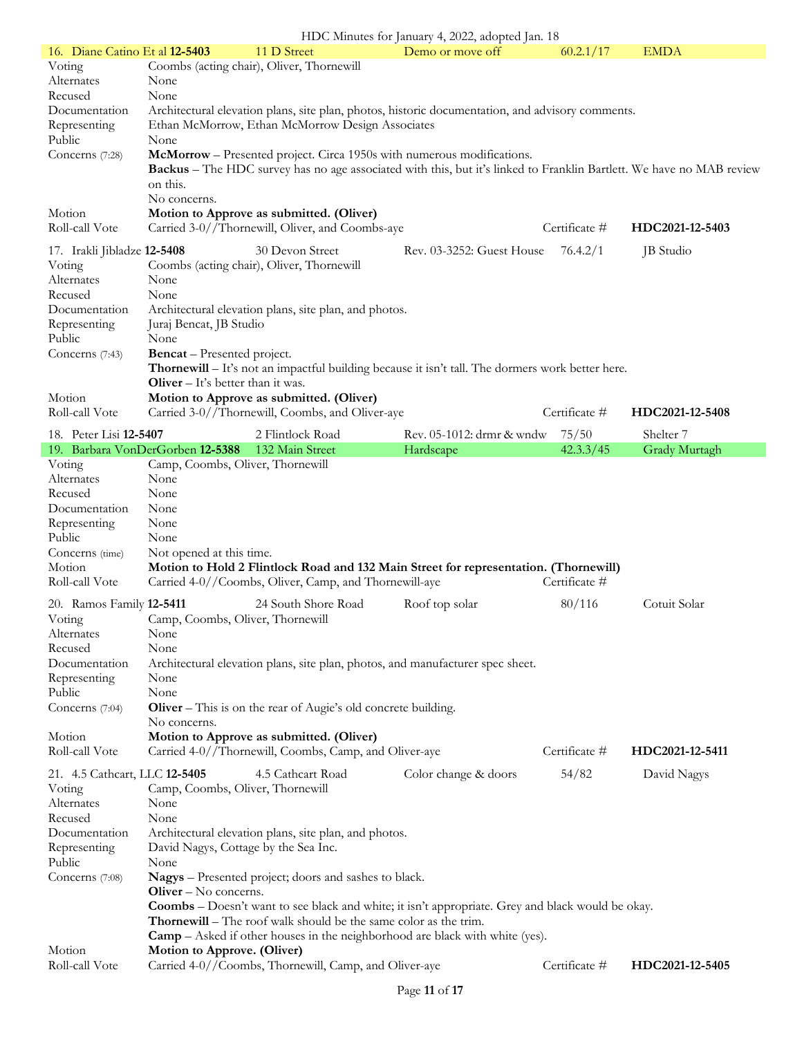|                                | HDC Minutes for January 4, 2022, adopted Jan. 18                                                                     |               |                      |
|--------------------------------|----------------------------------------------------------------------------------------------------------------------|---------------|----------------------|
| 16. Diane Catino Et al 12-5403 | 11 D Street<br>Demo or move off                                                                                      | 60.2.1/17     | <b>EMDA</b>          |
| Voting                         | Coombs (acting chair), Oliver, Thornewill                                                                            |               |                      |
| Alternates                     | None                                                                                                                 |               |                      |
| Recused                        | None                                                                                                                 |               |                      |
| Documentation                  | Architectural elevation plans, site plan, photos, historic documentation, and advisory comments.                     |               |                      |
| Representing                   | Ethan McMorrow, Ethan McMorrow Design Associates                                                                     |               |                      |
| Public                         | None                                                                                                                 |               |                      |
| Concerns (7:28)                | McMorrow - Presented project. Circa 1950s with numerous modifications.                                               |               |                      |
|                                | Backus - The HDC survey has no age associated with this, but it's linked to Franklin Bartlett. We have no MAB review |               |                      |
|                                | on this.                                                                                                             |               |                      |
|                                | No concerns.                                                                                                         |               |                      |
| Motion                         | Motion to Approve as submitted. (Oliver)                                                                             |               |                      |
| Roll-call Vote                 | Carried 3-0//Thornewill, Oliver, and Coombs-aye                                                                      | Certificate # | HDC2021-12-5403      |
|                                | 30 Devon Street                                                                                                      |               |                      |
| 17. Irakli Jibladze 12-5408    | Rev. 03-3252: Guest House                                                                                            | 76.4.2/1      | JB Studio            |
| Voting                         | Coombs (acting chair), Oliver, Thornewill                                                                            |               |                      |
| Alternates<br>Recused          | None                                                                                                                 |               |                      |
| Documentation                  | None                                                                                                                 |               |                      |
| Representing                   | Architectural elevation plans, site plan, and photos.                                                                |               |                      |
| Public                         | Juraj Bencat, JB Studio<br>None                                                                                      |               |                      |
|                                | <b>Bencat</b> – Presented project.                                                                                   |               |                      |
| Concerns (7:43)                | <b>Thornewill</b> – It's not an impactful building because it isn't tall. The dormers work better here.              |               |                      |
|                                | Oliver $-$ It's better than it was.                                                                                  |               |                      |
| Motion                         | Motion to Approve as submitted. (Oliver)                                                                             |               |                      |
| Roll-call Vote                 | Carried 3-0//Thornewill, Coombs, and Oliver-aye                                                                      | Certificate # | HDC2021-12-5408      |
|                                |                                                                                                                      |               |                      |
| 18. Peter Lisi 12-5407         | 2 Flintlock Road<br>Rev. 05-1012: drmr & wndw                                                                        | 75/50         | Shelter <sub>7</sub> |
|                                | 19. Barbara VonDerGorben 12-5388<br>132 Main Street<br>Hardscape                                                     | 42.3.3/45     | Grady Murtagh        |
| Voting                         | Camp, Coombs, Oliver, Thornewill                                                                                     |               |                      |
| Alternates                     | None                                                                                                                 |               |                      |
| Recused                        | None                                                                                                                 |               |                      |
| Documentation                  | None                                                                                                                 |               |                      |
| Representing                   | None                                                                                                                 |               |                      |
|                                |                                                                                                                      |               |                      |
| Public                         | None                                                                                                                 |               |                      |
| Concerns (time)                | Not opened at this time.                                                                                             |               |                      |
| Motion                         | Motion to Hold 2 Flintlock Road and 132 Main Street for representation. (Thornewill)                                 |               |                      |
| Roll-call Vote                 | Carried 4-0//Coombs, Oliver, Camp, and Thornewill-aye                                                                | Certificate # |                      |
|                                |                                                                                                                      |               | Cotuit Solar         |
| 20. Ramos Family 12-5411       | 24 South Shore Road<br>Roof top solar                                                                                | 80/116        |                      |
| Alternates                     | Voting Camp, Coombs, Oliver, Thornewill<br>None                                                                      |               |                      |
| Recused                        | None                                                                                                                 |               |                      |
| Documentation                  |                                                                                                                      |               |                      |
|                                | Architectural elevation plans, site plan, photos, and manufacturer spec sheet.<br>None                               |               |                      |
| Representing<br>Public         | None                                                                                                                 |               |                      |
|                                |                                                                                                                      |               |                      |
| Concerns (7:04)                | Oliver – This is on the rear of Augie's old concrete building.<br>No concerns.                                       |               |                      |
| Motion                         |                                                                                                                      |               |                      |
| Roll-call Vote                 | Motion to Approve as submitted. (Oliver)<br>Carried 4-0//Thornewill, Coombs, Camp, and Oliver-aye                    | Certificate # | HDC2021-12-5411      |
|                                |                                                                                                                      |               |                      |
| 21. 4.5 Cathcart, LLC 12-5405  | 4.5 Cathcart Road<br>Color change & doors                                                                            | 54/82         | David Nagys          |
| Voting                         | Camp, Coombs, Oliver, Thornewill                                                                                     |               |                      |
| Alternates                     | None                                                                                                                 |               |                      |
| Recused                        | None                                                                                                                 |               |                      |
| Documentation                  | Architectural elevation plans, site plan, and photos.                                                                |               |                      |
| Representing                   | David Nagys, Cottage by the Sea Inc.                                                                                 |               |                      |
| Public                         | None                                                                                                                 |               |                      |
| Concerns (7:08)                | Nagys - Presented project; doors and sashes to black.                                                                |               |                      |
|                                | $O$ liver – No concerns.                                                                                             |               |                      |
|                                | Coombs - Doesn't want to see black and white; it isn't appropriate. Grey and black would be okay.                    |               |                      |
|                                | <b>Thornewill</b> – The roof walk should be the same color as the trim.                                              |               |                      |
|                                | <b>Camp</b> – Asked if other houses in the neighborhood are black with white (yes).                                  |               |                      |
| Motion<br>Roll-call Vote       | <b>Motion to Approve. (Oliver)</b><br>Carried 4-0//Coombs, Thornewill, Camp, and Oliver-aye                          | Certificate # | HDC2021-12-5405      |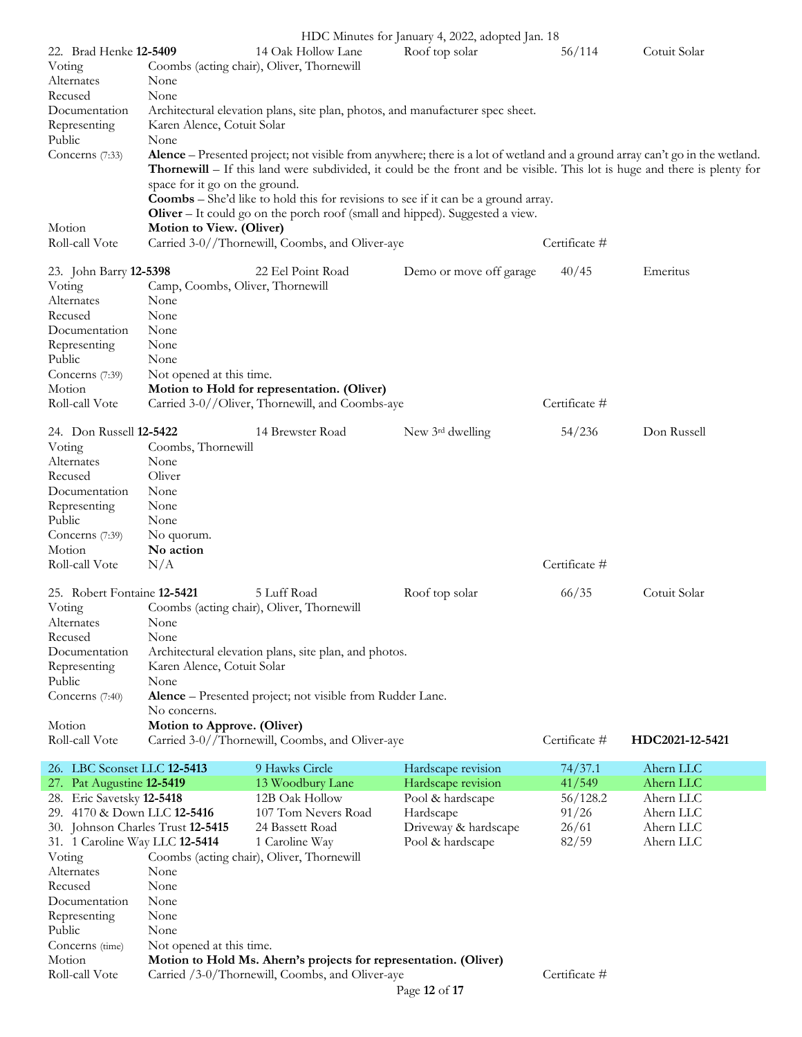| 14 Oak Hollow Lane<br>Roof top solar<br>Cotuit Solar<br>22. Brad Henke 12-5409<br>56/114<br>Coombs (acting chair), Oliver, Thornewill<br>Voting<br>None<br>Alternates<br>None<br>Recused<br>Documentation<br>Architectural elevation plans, site plan, photos, and manufacturer spec sheet.<br>Representing<br>Karen Alence, Cotuit Solar<br>Public<br>None<br>Alence – Presented project; not visible from anywhere; there is a lot of wetland and a ground array can't go in the wetland.<br>Concerns (7:33)<br><b>Thornewill</b> – If this land were subdivided, it could be the front and be visible. This lot is huge and there is plenty for<br>space for it go on the ground.<br><b>Coombs</b> – She'd like to hold this for revisions to see if it can be a ground array.<br>Oliver - It could go on the porch roof (small and hipped). Suggested a view.<br><b>Motion to View. (Oliver)</b><br>Motion<br>Roll-call Vote<br>Carried 3-0//Thornewill, Coombs, and Oliver-aye<br>Certificate #<br>22 Eel Point Road<br>Emeritus<br>23. John Barry 12-5398<br>Demo or move off garage<br>40/45<br>Camp, Coombs, Oliver, Thornewill<br>Voting<br>None<br>Alternates<br>None<br>Recused<br>Documentation<br>None<br>None<br>Representing<br>Public<br>None<br>Not opened at this time.<br>Concerns (7:39)<br>Motion to Hold for representation. (Oliver)<br>Motion<br>Certificate #<br>Roll-call Vote<br>Carried 3-0//Oliver, Thornewill, and Coombs-aye<br>54/236<br>24. Don Russell 12-5422<br>14 Brewster Road<br>New $3rd$ dwelling<br>Don Russell<br>Voting<br>Coombs, Thornewill<br>Alternates<br>None<br>Oliver<br>Recused<br>None<br>Documentation<br>Representing<br>None<br>Public<br>None<br>No quorum.<br>Concerns $(7:39)$<br>Motion<br>No action<br>Roll-call Vote<br>Certificate #<br>N/A<br>5 Luff Road<br>Cotuit Solar<br>25. Robert Fontaine 12-5421<br>66/35<br>Roof top solar<br>Voting<br>Coombs (acting chair), Oliver, Thornewill<br>Alternates<br>None<br>Recused<br>None<br>Architectural elevation plans, site plan, and photos.<br>Documentation<br>Representing<br>Karen Alence, Cotuit Solar<br>Public<br>None<br>Alence - Presented project; not visible from Rudder Lane.<br>Concerns (7:40)<br>No concerns.<br>Motion to Approve. (Oliver)<br>Motion<br>Roll-call Vote<br>Carried 3-0//Thornewill, Coombs, and Oliver-aye<br>Certificate #<br>HDC2021-12-5421<br>9 Hawks Circle<br>26. LBC Sconset LLC 12-5413<br>74/37.1<br>Ahern LLC<br>Hardscape revision<br>Hardscape revision<br>41/549<br>27. Pat Augustine 12-5419<br>13 Woodbury Lane<br>Ahern LLC<br>56/128.2<br>28. Eric Savetsky 12-5418<br>12B Oak Hollow<br>Pool & hardscape<br>Ahern LLC<br>29. 4170 & Down LLC 12-5416<br>91/26<br>107 Tom Nevers Road<br>Hardscape<br>Ahern LLC<br>26/61<br>30. Johnson Charles Trust 12-5415<br>Driveway & hardscape<br>Ahern LLC<br>24 Bassett Road<br>31. 1 Caroline Way LLC 12-5414<br>1 Caroline Way<br>Pool & hardscape<br>82/59<br>Ahern LLC<br>Coombs (acting chair), Oliver, Thornewill<br>Voting<br>Alternates<br>None<br>Recused<br>None<br>None<br>Documentation<br>None<br>Representing<br>Public<br>None<br>Not opened at this time.<br>Concerns (time)<br>Motion<br>Motion to Hold Ms. Ahern's projects for representation. (Oliver)<br>Roll-call Vote<br>Certificate #<br>Carried /3-0/Thornewill, Coombs, and Oliver-aye<br>Page 12 of 17 |  |  | HDC Minutes for January 4, 2022, adopted Jan. 18 |  |  |  |
|-----------------------------------------------------------------------------------------------------------------------------------------------------------------------------------------------------------------------------------------------------------------------------------------------------------------------------------------------------------------------------------------------------------------------------------------------------------------------------------------------------------------------------------------------------------------------------------------------------------------------------------------------------------------------------------------------------------------------------------------------------------------------------------------------------------------------------------------------------------------------------------------------------------------------------------------------------------------------------------------------------------------------------------------------------------------------------------------------------------------------------------------------------------------------------------------------------------------------------------------------------------------------------------------------------------------------------------------------------------------------------------------------------------------------------------------------------------------------------------------------------------------------------------------------------------------------------------------------------------------------------------------------------------------------------------------------------------------------------------------------------------------------------------------------------------------------------------------------------------------------------------------------------------------------------------------------------------------------------------------------------------------------------------------------------------------------------------------------------------------------------------------------------------------------------------------------------------------------------------------------------------------------------------------------------------------------------------------------------------------------------------------------------------------------------------------------------------------------------------------------------------------------------------------------------------------------------------------------------------------------------------------------------------------------------------------------------------------------------------------------------------------------------------------------------------------------------------------------------------------------------------------------------------------------------------------------------------------------------------------------------------------------------------------------------------------------------------------------------------------------------------------------------------------------------------------------------------------------------------------------------------------------------------------------------------------------------------------------------------------------------------------------|--|--|--------------------------------------------------|--|--|--|
|                                                                                                                                                                                                                                                                                                                                                                                                                                                                                                                                                                                                                                                                                                                                                                                                                                                                                                                                                                                                                                                                                                                                                                                                                                                                                                                                                                                                                                                                                                                                                                                                                                                                                                                                                                                                                                                                                                                                                                                                                                                                                                                                                                                                                                                                                                                                                                                                                                                                                                                                                                                                                                                                                                                                                                                                                                                                                                                                                                                                                                                                                                                                                                                                                                                                                                                                                                                               |  |  |                                                  |  |  |  |
|                                                                                                                                                                                                                                                                                                                                                                                                                                                                                                                                                                                                                                                                                                                                                                                                                                                                                                                                                                                                                                                                                                                                                                                                                                                                                                                                                                                                                                                                                                                                                                                                                                                                                                                                                                                                                                                                                                                                                                                                                                                                                                                                                                                                                                                                                                                                                                                                                                                                                                                                                                                                                                                                                                                                                                                                                                                                                                                                                                                                                                                                                                                                                                                                                                                                                                                                                                                               |  |  |                                                  |  |  |  |
|                                                                                                                                                                                                                                                                                                                                                                                                                                                                                                                                                                                                                                                                                                                                                                                                                                                                                                                                                                                                                                                                                                                                                                                                                                                                                                                                                                                                                                                                                                                                                                                                                                                                                                                                                                                                                                                                                                                                                                                                                                                                                                                                                                                                                                                                                                                                                                                                                                                                                                                                                                                                                                                                                                                                                                                                                                                                                                                                                                                                                                                                                                                                                                                                                                                                                                                                                                                               |  |  |                                                  |  |  |  |
|                                                                                                                                                                                                                                                                                                                                                                                                                                                                                                                                                                                                                                                                                                                                                                                                                                                                                                                                                                                                                                                                                                                                                                                                                                                                                                                                                                                                                                                                                                                                                                                                                                                                                                                                                                                                                                                                                                                                                                                                                                                                                                                                                                                                                                                                                                                                                                                                                                                                                                                                                                                                                                                                                                                                                                                                                                                                                                                                                                                                                                                                                                                                                                                                                                                                                                                                                                                               |  |  |                                                  |  |  |  |
|                                                                                                                                                                                                                                                                                                                                                                                                                                                                                                                                                                                                                                                                                                                                                                                                                                                                                                                                                                                                                                                                                                                                                                                                                                                                                                                                                                                                                                                                                                                                                                                                                                                                                                                                                                                                                                                                                                                                                                                                                                                                                                                                                                                                                                                                                                                                                                                                                                                                                                                                                                                                                                                                                                                                                                                                                                                                                                                                                                                                                                                                                                                                                                                                                                                                                                                                                                                               |  |  |                                                  |  |  |  |
|                                                                                                                                                                                                                                                                                                                                                                                                                                                                                                                                                                                                                                                                                                                                                                                                                                                                                                                                                                                                                                                                                                                                                                                                                                                                                                                                                                                                                                                                                                                                                                                                                                                                                                                                                                                                                                                                                                                                                                                                                                                                                                                                                                                                                                                                                                                                                                                                                                                                                                                                                                                                                                                                                                                                                                                                                                                                                                                                                                                                                                                                                                                                                                                                                                                                                                                                                                                               |  |  |                                                  |  |  |  |
|                                                                                                                                                                                                                                                                                                                                                                                                                                                                                                                                                                                                                                                                                                                                                                                                                                                                                                                                                                                                                                                                                                                                                                                                                                                                                                                                                                                                                                                                                                                                                                                                                                                                                                                                                                                                                                                                                                                                                                                                                                                                                                                                                                                                                                                                                                                                                                                                                                                                                                                                                                                                                                                                                                                                                                                                                                                                                                                                                                                                                                                                                                                                                                                                                                                                                                                                                                                               |  |  |                                                  |  |  |  |
|                                                                                                                                                                                                                                                                                                                                                                                                                                                                                                                                                                                                                                                                                                                                                                                                                                                                                                                                                                                                                                                                                                                                                                                                                                                                                                                                                                                                                                                                                                                                                                                                                                                                                                                                                                                                                                                                                                                                                                                                                                                                                                                                                                                                                                                                                                                                                                                                                                                                                                                                                                                                                                                                                                                                                                                                                                                                                                                                                                                                                                                                                                                                                                                                                                                                                                                                                                                               |  |  |                                                  |  |  |  |
|                                                                                                                                                                                                                                                                                                                                                                                                                                                                                                                                                                                                                                                                                                                                                                                                                                                                                                                                                                                                                                                                                                                                                                                                                                                                                                                                                                                                                                                                                                                                                                                                                                                                                                                                                                                                                                                                                                                                                                                                                                                                                                                                                                                                                                                                                                                                                                                                                                                                                                                                                                                                                                                                                                                                                                                                                                                                                                                                                                                                                                                                                                                                                                                                                                                                                                                                                                                               |  |  |                                                  |  |  |  |
|                                                                                                                                                                                                                                                                                                                                                                                                                                                                                                                                                                                                                                                                                                                                                                                                                                                                                                                                                                                                                                                                                                                                                                                                                                                                                                                                                                                                                                                                                                                                                                                                                                                                                                                                                                                                                                                                                                                                                                                                                                                                                                                                                                                                                                                                                                                                                                                                                                                                                                                                                                                                                                                                                                                                                                                                                                                                                                                                                                                                                                                                                                                                                                                                                                                                                                                                                                                               |  |  |                                                  |  |  |  |
|                                                                                                                                                                                                                                                                                                                                                                                                                                                                                                                                                                                                                                                                                                                                                                                                                                                                                                                                                                                                                                                                                                                                                                                                                                                                                                                                                                                                                                                                                                                                                                                                                                                                                                                                                                                                                                                                                                                                                                                                                                                                                                                                                                                                                                                                                                                                                                                                                                                                                                                                                                                                                                                                                                                                                                                                                                                                                                                                                                                                                                                                                                                                                                                                                                                                                                                                                                                               |  |  |                                                  |  |  |  |
|                                                                                                                                                                                                                                                                                                                                                                                                                                                                                                                                                                                                                                                                                                                                                                                                                                                                                                                                                                                                                                                                                                                                                                                                                                                                                                                                                                                                                                                                                                                                                                                                                                                                                                                                                                                                                                                                                                                                                                                                                                                                                                                                                                                                                                                                                                                                                                                                                                                                                                                                                                                                                                                                                                                                                                                                                                                                                                                                                                                                                                                                                                                                                                                                                                                                                                                                                                                               |  |  |                                                  |  |  |  |
|                                                                                                                                                                                                                                                                                                                                                                                                                                                                                                                                                                                                                                                                                                                                                                                                                                                                                                                                                                                                                                                                                                                                                                                                                                                                                                                                                                                                                                                                                                                                                                                                                                                                                                                                                                                                                                                                                                                                                                                                                                                                                                                                                                                                                                                                                                                                                                                                                                                                                                                                                                                                                                                                                                                                                                                                                                                                                                                                                                                                                                                                                                                                                                                                                                                                                                                                                                                               |  |  |                                                  |  |  |  |
|                                                                                                                                                                                                                                                                                                                                                                                                                                                                                                                                                                                                                                                                                                                                                                                                                                                                                                                                                                                                                                                                                                                                                                                                                                                                                                                                                                                                                                                                                                                                                                                                                                                                                                                                                                                                                                                                                                                                                                                                                                                                                                                                                                                                                                                                                                                                                                                                                                                                                                                                                                                                                                                                                                                                                                                                                                                                                                                                                                                                                                                                                                                                                                                                                                                                                                                                                                                               |  |  |                                                  |  |  |  |
|                                                                                                                                                                                                                                                                                                                                                                                                                                                                                                                                                                                                                                                                                                                                                                                                                                                                                                                                                                                                                                                                                                                                                                                                                                                                                                                                                                                                                                                                                                                                                                                                                                                                                                                                                                                                                                                                                                                                                                                                                                                                                                                                                                                                                                                                                                                                                                                                                                                                                                                                                                                                                                                                                                                                                                                                                                                                                                                                                                                                                                                                                                                                                                                                                                                                                                                                                                                               |  |  |                                                  |  |  |  |
|                                                                                                                                                                                                                                                                                                                                                                                                                                                                                                                                                                                                                                                                                                                                                                                                                                                                                                                                                                                                                                                                                                                                                                                                                                                                                                                                                                                                                                                                                                                                                                                                                                                                                                                                                                                                                                                                                                                                                                                                                                                                                                                                                                                                                                                                                                                                                                                                                                                                                                                                                                                                                                                                                                                                                                                                                                                                                                                                                                                                                                                                                                                                                                                                                                                                                                                                                                                               |  |  |                                                  |  |  |  |
|                                                                                                                                                                                                                                                                                                                                                                                                                                                                                                                                                                                                                                                                                                                                                                                                                                                                                                                                                                                                                                                                                                                                                                                                                                                                                                                                                                                                                                                                                                                                                                                                                                                                                                                                                                                                                                                                                                                                                                                                                                                                                                                                                                                                                                                                                                                                                                                                                                                                                                                                                                                                                                                                                                                                                                                                                                                                                                                                                                                                                                                                                                                                                                                                                                                                                                                                                                                               |  |  |                                                  |  |  |  |
|                                                                                                                                                                                                                                                                                                                                                                                                                                                                                                                                                                                                                                                                                                                                                                                                                                                                                                                                                                                                                                                                                                                                                                                                                                                                                                                                                                                                                                                                                                                                                                                                                                                                                                                                                                                                                                                                                                                                                                                                                                                                                                                                                                                                                                                                                                                                                                                                                                                                                                                                                                                                                                                                                                                                                                                                                                                                                                                                                                                                                                                                                                                                                                                                                                                                                                                                                                                               |  |  |                                                  |  |  |  |
|                                                                                                                                                                                                                                                                                                                                                                                                                                                                                                                                                                                                                                                                                                                                                                                                                                                                                                                                                                                                                                                                                                                                                                                                                                                                                                                                                                                                                                                                                                                                                                                                                                                                                                                                                                                                                                                                                                                                                                                                                                                                                                                                                                                                                                                                                                                                                                                                                                                                                                                                                                                                                                                                                                                                                                                                                                                                                                                                                                                                                                                                                                                                                                                                                                                                                                                                                                                               |  |  |                                                  |  |  |  |
|                                                                                                                                                                                                                                                                                                                                                                                                                                                                                                                                                                                                                                                                                                                                                                                                                                                                                                                                                                                                                                                                                                                                                                                                                                                                                                                                                                                                                                                                                                                                                                                                                                                                                                                                                                                                                                                                                                                                                                                                                                                                                                                                                                                                                                                                                                                                                                                                                                                                                                                                                                                                                                                                                                                                                                                                                                                                                                                                                                                                                                                                                                                                                                                                                                                                                                                                                                                               |  |  |                                                  |  |  |  |
|                                                                                                                                                                                                                                                                                                                                                                                                                                                                                                                                                                                                                                                                                                                                                                                                                                                                                                                                                                                                                                                                                                                                                                                                                                                                                                                                                                                                                                                                                                                                                                                                                                                                                                                                                                                                                                                                                                                                                                                                                                                                                                                                                                                                                                                                                                                                                                                                                                                                                                                                                                                                                                                                                                                                                                                                                                                                                                                                                                                                                                                                                                                                                                                                                                                                                                                                                                                               |  |  |                                                  |  |  |  |
|                                                                                                                                                                                                                                                                                                                                                                                                                                                                                                                                                                                                                                                                                                                                                                                                                                                                                                                                                                                                                                                                                                                                                                                                                                                                                                                                                                                                                                                                                                                                                                                                                                                                                                                                                                                                                                                                                                                                                                                                                                                                                                                                                                                                                                                                                                                                                                                                                                                                                                                                                                                                                                                                                                                                                                                                                                                                                                                                                                                                                                                                                                                                                                                                                                                                                                                                                                                               |  |  |                                                  |  |  |  |
|                                                                                                                                                                                                                                                                                                                                                                                                                                                                                                                                                                                                                                                                                                                                                                                                                                                                                                                                                                                                                                                                                                                                                                                                                                                                                                                                                                                                                                                                                                                                                                                                                                                                                                                                                                                                                                                                                                                                                                                                                                                                                                                                                                                                                                                                                                                                                                                                                                                                                                                                                                                                                                                                                                                                                                                                                                                                                                                                                                                                                                                                                                                                                                                                                                                                                                                                                                                               |  |  |                                                  |  |  |  |
|                                                                                                                                                                                                                                                                                                                                                                                                                                                                                                                                                                                                                                                                                                                                                                                                                                                                                                                                                                                                                                                                                                                                                                                                                                                                                                                                                                                                                                                                                                                                                                                                                                                                                                                                                                                                                                                                                                                                                                                                                                                                                                                                                                                                                                                                                                                                                                                                                                                                                                                                                                                                                                                                                                                                                                                                                                                                                                                                                                                                                                                                                                                                                                                                                                                                                                                                                                                               |  |  |                                                  |  |  |  |
|                                                                                                                                                                                                                                                                                                                                                                                                                                                                                                                                                                                                                                                                                                                                                                                                                                                                                                                                                                                                                                                                                                                                                                                                                                                                                                                                                                                                                                                                                                                                                                                                                                                                                                                                                                                                                                                                                                                                                                                                                                                                                                                                                                                                                                                                                                                                                                                                                                                                                                                                                                                                                                                                                                                                                                                                                                                                                                                                                                                                                                                                                                                                                                                                                                                                                                                                                                                               |  |  |                                                  |  |  |  |
|                                                                                                                                                                                                                                                                                                                                                                                                                                                                                                                                                                                                                                                                                                                                                                                                                                                                                                                                                                                                                                                                                                                                                                                                                                                                                                                                                                                                                                                                                                                                                                                                                                                                                                                                                                                                                                                                                                                                                                                                                                                                                                                                                                                                                                                                                                                                                                                                                                                                                                                                                                                                                                                                                                                                                                                                                                                                                                                                                                                                                                                                                                                                                                                                                                                                                                                                                                                               |  |  |                                                  |  |  |  |
|                                                                                                                                                                                                                                                                                                                                                                                                                                                                                                                                                                                                                                                                                                                                                                                                                                                                                                                                                                                                                                                                                                                                                                                                                                                                                                                                                                                                                                                                                                                                                                                                                                                                                                                                                                                                                                                                                                                                                                                                                                                                                                                                                                                                                                                                                                                                                                                                                                                                                                                                                                                                                                                                                                                                                                                                                                                                                                                                                                                                                                                                                                                                                                                                                                                                                                                                                                                               |  |  |                                                  |  |  |  |
|                                                                                                                                                                                                                                                                                                                                                                                                                                                                                                                                                                                                                                                                                                                                                                                                                                                                                                                                                                                                                                                                                                                                                                                                                                                                                                                                                                                                                                                                                                                                                                                                                                                                                                                                                                                                                                                                                                                                                                                                                                                                                                                                                                                                                                                                                                                                                                                                                                                                                                                                                                                                                                                                                                                                                                                                                                                                                                                                                                                                                                                                                                                                                                                                                                                                                                                                                                                               |  |  |                                                  |  |  |  |
|                                                                                                                                                                                                                                                                                                                                                                                                                                                                                                                                                                                                                                                                                                                                                                                                                                                                                                                                                                                                                                                                                                                                                                                                                                                                                                                                                                                                                                                                                                                                                                                                                                                                                                                                                                                                                                                                                                                                                                                                                                                                                                                                                                                                                                                                                                                                                                                                                                                                                                                                                                                                                                                                                                                                                                                                                                                                                                                                                                                                                                                                                                                                                                                                                                                                                                                                                                                               |  |  |                                                  |  |  |  |
|                                                                                                                                                                                                                                                                                                                                                                                                                                                                                                                                                                                                                                                                                                                                                                                                                                                                                                                                                                                                                                                                                                                                                                                                                                                                                                                                                                                                                                                                                                                                                                                                                                                                                                                                                                                                                                                                                                                                                                                                                                                                                                                                                                                                                                                                                                                                                                                                                                                                                                                                                                                                                                                                                                                                                                                                                                                                                                                                                                                                                                                                                                                                                                                                                                                                                                                                                                                               |  |  |                                                  |  |  |  |
|                                                                                                                                                                                                                                                                                                                                                                                                                                                                                                                                                                                                                                                                                                                                                                                                                                                                                                                                                                                                                                                                                                                                                                                                                                                                                                                                                                                                                                                                                                                                                                                                                                                                                                                                                                                                                                                                                                                                                                                                                                                                                                                                                                                                                                                                                                                                                                                                                                                                                                                                                                                                                                                                                                                                                                                                                                                                                                                                                                                                                                                                                                                                                                                                                                                                                                                                                                                               |  |  |                                                  |  |  |  |
|                                                                                                                                                                                                                                                                                                                                                                                                                                                                                                                                                                                                                                                                                                                                                                                                                                                                                                                                                                                                                                                                                                                                                                                                                                                                                                                                                                                                                                                                                                                                                                                                                                                                                                                                                                                                                                                                                                                                                                                                                                                                                                                                                                                                                                                                                                                                                                                                                                                                                                                                                                                                                                                                                                                                                                                                                                                                                                                                                                                                                                                                                                                                                                                                                                                                                                                                                                                               |  |  |                                                  |  |  |  |
|                                                                                                                                                                                                                                                                                                                                                                                                                                                                                                                                                                                                                                                                                                                                                                                                                                                                                                                                                                                                                                                                                                                                                                                                                                                                                                                                                                                                                                                                                                                                                                                                                                                                                                                                                                                                                                                                                                                                                                                                                                                                                                                                                                                                                                                                                                                                                                                                                                                                                                                                                                                                                                                                                                                                                                                                                                                                                                                                                                                                                                                                                                                                                                                                                                                                                                                                                                                               |  |  |                                                  |  |  |  |
|                                                                                                                                                                                                                                                                                                                                                                                                                                                                                                                                                                                                                                                                                                                                                                                                                                                                                                                                                                                                                                                                                                                                                                                                                                                                                                                                                                                                                                                                                                                                                                                                                                                                                                                                                                                                                                                                                                                                                                                                                                                                                                                                                                                                                                                                                                                                                                                                                                                                                                                                                                                                                                                                                                                                                                                                                                                                                                                                                                                                                                                                                                                                                                                                                                                                                                                                                                                               |  |  |                                                  |  |  |  |
|                                                                                                                                                                                                                                                                                                                                                                                                                                                                                                                                                                                                                                                                                                                                                                                                                                                                                                                                                                                                                                                                                                                                                                                                                                                                                                                                                                                                                                                                                                                                                                                                                                                                                                                                                                                                                                                                                                                                                                                                                                                                                                                                                                                                                                                                                                                                                                                                                                                                                                                                                                                                                                                                                                                                                                                                                                                                                                                                                                                                                                                                                                                                                                                                                                                                                                                                                                                               |  |  |                                                  |  |  |  |
|                                                                                                                                                                                                                                                                                                                                                                                                                                                                                                                                                                                                                                                                                                                                                                                                                                                                                                                                                                                                                                                                                                                                                                                                                                                                                                                                                                                                                                                                                                                                                                                                                                                                                                                                                                                                                                                                                                                                                                                                                                                                                                                                                                                                                                                                                                                                                                                                                                                                                                                                                                                                                                                                                                                                                                                                                                                                                                                                                                                                                                                                                                                                                                                                                                                                                                                                                                                               |  |  |                                                  |  |  |  |
|                                                                                                                                                                                                                                                                                                                                                                                                                                                                                                                                                                                                                                                                                                                                                                                                                                                                                                                                                                                                                                                                                                                                                                                                                                                                                                                                                                                                                                                                                                                                                                                                                                                                                                                                                                                                                                                                                                                                                                                                                                                                                                                                                                                                                                                                                                                                                                                                                                                                                                                                                                                                                                                                                                                                                                                                                                                                                                                                                                                                                                                                                                                                                                                                                                                                                                                                                                                               |  |  |                                                  |  |  |  |
|                                                                                                                                                                                                                                                                                                                                                                                                                                                                                                                                                                                                                                                                                                                                                                                                                                                                                                                                                                                                                                                                                                                                                                                                                                                                                                                                                                                                                                                                                                                                                                                                                                                                                                                                                                                                                                                                                                                                                                                                                                                                                                                                                                                                                                                                                                                                                                                                                                                                                                                                                                                                                                                                                                                                                                                                                                                                                                                                                                                                                                                                                                                                                                                                                                                                                                                                                                                               |  |  |                                                  |  |  |  |
|                                                                                                                                                                                                                                                                                                                                                                                                                                                                                                                                                                                                                                                                                                                                                                                                                                                                                                                                                                                                                                                                                                                                                                                                                                                                                                                                                                                                                                                                                                                                                                                                                                                                                                                                                                                                                                                                                                                                                                                                                                                                                                                                                                                                                                                                                                                                                                                                                                                                                                                                                                                                                                                                                                                                                                                                                                                                                                                                                                                                                                                                                                                                                                                                                                                                                                                                                                                               |  |  |                                                  |  |  |  |
|                                                                                                                                                                                                                                                                                                                                                                                                                                                                                                                                                                                                                                                                                                                                                                                                                                                                                                                                                                                                                                                                                                                                                                                                                                                                                                                                                                                                                                                                                                                                                                                                                                                                                                                                                                                                                                                                                                                                                                                                                                                                                                                                                                                                                                                                                                                                                                                                                                                                                                                                                                                                                                                                                                                                                                                                                                                                                                                                                                                                                                                                                                                                                                                                                                                                                                                                                                                               |  |  |                                                  |  |  |  |
|                                                                                                                                                                                                                                                                                                                                                                                                                                                                                                                                                                                                                                                                                                                                                                                                                                                                                                                                                                                                                                                                                                                                                                                                                                                                                                                                                                                                                                                                                                                                                                                                                                                                                                                                                                                                                                                                                                                                                                                                                                                                                                                                                                                                                                                                                                                                                                                                                                                                                                                                                                                                                                                                                                                                                                                                                                                                                                                                                                                                                                                                                                                                                                                                                                                                                                                                                                                               |  |  |                                                  |  |  |  |
|                                                                                                                                                                                                                                                                                                                                                                                                                                                                                                                                                                                                                                                                                                                                                                                                                                                                                                                                                                                                                                                                                                                                                                                                                                                                                                                                                                                                                                                                                                                                                                                                                                                                                                                                                                                                                                                                                                                                                                                                                                                                                                                                                                                                                                                                                                                                                                                                                                                                                                                                                                                                                                                                                                                                                                                                                                                                                                                                                                                                                                                                                                                                                                                                                                                                                                                                                                                               |  |  |                                                  |  |  |  |
|                                                                                                                                                                                                                                                                                                                                                                                                                                                                                                                                                                                                                                                                                                                                                                                                                                                                                                                                                                                                                                                                                                                                                                                                                                                                                                                                                                                                                                                                                                                                                                                                                                                                                                                                                                                                                                                                                                                                                                                                                                                                                                                                                                                                                                                                                                                                                                                                                                                                                                                                                                                                                                                                                                                                                                                                                                                                                                                                                                                                                                                                                                                                                                                                                                                                                                                                                                                               |  |  |                                                  |  |  |  |
|                                                                                                                                                                                                                                                                                                                                                                                                                                                                                                                                                                                                                                                                                                                                                                                                                                                                                                                                                                                                                                                                                                                                                                                                                                                                                                                                                                                                                                                                                                                                                                                                                                                                                                                                                                                                                                                                                                                                                                                                                                                                                                                                                                                                                                                                                                                                                                                                                                                                                                                                                                                                                                                                                                                                                                                                                                                                                                                                                                                                                                                                                                                                                                                                                                                                                                                                                                                               |  |  |                                                  |  |  |  |
|                                                                                                                                                                                                                                                                                                                                                                                                                                                                                                                                                                                                                                                                                                                                                                                                                                                                                                                                                                                                                                                                                                                                                                                                                                                                                                                                                                                                                                                                                                                                                                                                                                                                                                                                                                                                                                                                                                                                                                                                                                                                                                                                                                                                                                                                                                                                                                                                                                                                                                                                                                                                                                                                                                                                                                                                                                                                                                                                                                                                                                                                                                                                                                                                                                                                                                                                                                                               |  |  |                                                  |  |  |  |
|                                                                                                                                                                                                                                                                                                                                                                                                                                                                                                                                                                                                                                                                                                                                                                                                                                                                                                                                                                                                                                                                                                                                                                                                                                                                                                                                                                                                                                                                                                                                                                                                                                                                                                                                                                                                                                                                                                                                                                                                                                                                                                                                                                                                                                                                                                                                                                                                                                                                                                                                                                                                                                                                                                                                                                                                                                                                                                                                                                                                                                                                                                                                                                                                                                                                                                                                                                                               |  |  |                                                  |  |  |  |
|                                                                                                                                                                                                                                                                                                                                                                                                                                                                                                                                                                                                                                                                                                                                                                                                                                                                                                                                                                                                                                                                                                                                                                                                                                                                                                                                                                                                                                                                                                                                                                                                                                                                                                                                                                                                                                                                                                                                                                                                                                                                                                                                                                                                                                                                                                                                                                                                                                                                                                                                                                                                                                                                                                                                                                                                                                                                                                                                                                                                                                                                                                                                                                                                                                                                                                                                                                                               |  |  |                                                  |  |  |  |
|                                                                                                                                                                                                                                                                                                                                                                                                                                                                                                                                                                                                                                                                                                                                                                                                                                                                                                                                                                                                                                                                                                                                                                                                                                                                                                                                                                                                                                                                                                                                                                                                                                                                                                                                                                                                                                                                                                                                                                                                                                                                                                                                                                                                                                                                                                                                                                                                                                                                                                                                                                                                                                                                                                                                                                                                                                                                                                                                                                                                                                                                                                                                                                                                                                                                                                                                                                                               |  |  |                                                  |  |  |  |
|                                                                                                                                                                                                                                                                                                                                                                                                                                                                                                                                                                                                                                                                                                                                                                                                                                                                                                                                                                                                                                                                                                                                                                                                                                                                                                                                                                                                                                                                                                                                                                                                                                                                                                                                                                                                                                                                                                                                                                                                                                                                                                                                                                                                                                                                                                                                                                                                                                                                                                                                                                                                                                                                                                                                                                                                                                                                                                                                                                                                                                                                                                                                                                                                                                                                                                                                                                                               |  |  |                                                  |  |  |  |
|                                                                                                                                                                                                                                                                                                                                                                                                                                                                                                                                                                                                                                                                                                                                                                                                                                                                                                                                                                                                                                                                                                                                                                                                                                                                                                                                                                                                                                                                                                                                                                                                                                                                                                                                                                                                                                                                                                                                                                                                                                                                                                                                                                                                                                                                                                                                                                                                                                                                                                                                                                                                                                                                                                                                                                                                                                                                                                                                                                                                                                                                                                                                                                                                                                                                                                                                                                                               |  |  |                                                  |  |  |  |
|                                                                                                                                                                                                                                                                                                                                                                                                                                                                                                                                                                                                                                                                                                                                                                                                                                                                                                                                                                                                                                                                                                                                                                                                                                                                                                                                                                                                                                                                                                                                                                                                                                                                                                                                                                                                                                                                                                                                                                                                                                                                                                                                                                                                                                                                                                                                                                                                                                                                                                                                                                                                                                                                                                                                                                                                                                                                                                                                                                                                                                                                                                                                                                                                                                                                                                                                                                                               |  |  |                                                  |  |  |  |
|                                                                                                                                                                                                                                                                                                                                                                                                                                                                                                                                                                                                                                                                                                                                                                                                                                                                                                                                                                                                                                                                                                                                                                                                                                                                                                                                                                                                                                                                                                                                                                                                                                                                                                                                                                                                                                                                                                                                                                                                                                                                                                                                                                                                                                                                                                                                                                                                                                                                                                                                                                                                                                                                                                                                                                                                                                                                                                                                                                                                                                                                                                                                                                                                                                                                                                                                                                                               |  |  |                                                  |  |  |  |
|                                                                                                                                                                                                                                                                                                                                                                                                                                                                                                                                                                                                                                                                                                                                                                                                                                                                                                                                                                                                                                                                                                                                                                                                                                                                                                                                                                                                                                                                                                                                                                                                                                                                                                                                                                                                                                                                                                                                                                                                                                                                                                                                                                                                                                                                                                                                                                                                                                                                                                                                                                                                                                                                                                                                                                                                                                                                                                                                                                                                                                                                                                                                                                                                                                                                                                                                                                                               |  |  |                                                  |  |  |  |
|                                                                                                                                                                                                                                                                                                                                                                                                                                                                                                                                                                                                                                                                                                                                                                                                                                                                                                                                                                                                                                                                                                                                                                                                                                                                                                                                                                                                                                                                                                                                                                                                                                                                                                                                                                                                                                                                                                                                                                                                                                                                                                                                                                                                                                                                                                                                                                                                                                                                                                                                                                                                                                                                                                                                                                                                                                                                                                                                                                                                                                                                                                                                                                                                                                                                                                                                                                                               |  |  |                                                  |  |  |  |
|                                                                                                                                                                                                                                                                                                                                                                                                                                                                                                                                                                                                                                                                                                                                                                                                                                                                                                                                                                                                                                                                                                                                                                                                                                                                                                                                                                                                                                                                                                                                                                                                                                                                                                                                                                                                                                                                                                                                                                                                                                                                                                                                                                                                                                                                                                                                                                                                                                                                                                                                                                                                                                                                                                                                                                                                                                                                                                                                                                                                                                                                                                                                                                                                                                                                                                                                                                                               |  |  |                                                  |  |  |  |
|                                                                                                                                                                                                                                                                                                                                                                                                                                                                                                                                                                                                                                                                                                                                                                                                                                                                                                                                                                                                                                                                                                                                                                                                                                                                                                                                                                                                                                                                                                                                                                                                                                                                                                                                                                                                                                                                                                                                                                                                                                                                                                                                                                                                                                                                                                                                                                                                                                                                                                                                                                                                                                                                                                                                                                                                                                                                                                                                                                                                                                                                                                                                                                                                                                                                                                                                                                                               |  |  |                                                  |  |  |  |
|                                                                                                                                                                                                                                                                                                                                                                                                                                                                                                                                                                                                                                                                                                                                                                                                                                                                                                                                                                                                                                                                                                                                                                                                                                                                                                                                                                                                                                                                                                                                                                                                                                                                                                                                                                                                                                                                                                                                                                                                                                                                                                                                                                                                                                                                                                                                                                                                                                                                                                                                                                                                                                                                                                                                                                                                                                                                                                                                                                                                                                                                                                                                                                                                                                                                                                                                                                                               |  |  |                                                  |  |  |  |
|                                                                                                                                                                                                                                                                                                                                                                                                                                                                                                                                                                                                                                                                                                                                                                                                                                                                                                                                                                                                                                                                                                                                                                                                                                                                                                                                                                                                                                                                                                                                                                                                                                                                                                                                                                                                                                                                                                                                                                                                                                                                                                                                                                                                                                                                                                                                                                                                                                                                                                                                                                                                                                                                                                                                                                                                                                                                                                                                                                                                                                                                                                                                                                                                                                                                                                                                                                                               |  |  |                                                  |  |  |  |
|                                                                                                                                                                                                                                                                                                                                                                                                                                                                                                                                                                                                                                                                                                                                                                                                                                                                                                                                                                                                                                                                                                                                                                                                                                                                                                                                                                                                                                                                                                                                                                                                                                                                                                                                                                                                                                                                                                                                                                                                                                                                                                                                                                                                                                                                                                                                                                                                                                                                                                                                                                                                                                                                                                                                                                                                                                                                                                                                                                                                                                                                                                                                                                                                                                                                                                                                                                                               |  |  |                                                  |  |  |  |
|                                                                                                                                                                                                                                                                                                                                                                                                                                                                                                                                                                                                                                                                                                                                                                                                                                                                                                                                                                                                                                                                                                                                                                                                                                                                                                                                                                                                                                                                                                                                                                                                                                                                                                                                                                                                                                                                                                                                                                                                                                                                                                                                                                                                                                                                                                                                                                                                                                                                                                                                                                                                                                                                                                                                                                                                                                                                                                                                                                                                                                                                                                                                                                                                                                                                                                                                                                                               |  |  |                                                  |  |  |  |
|                                                                                                                                                                                                                                                                                                                                                                                                                                                                                                                                                                                                                                                                                                                                                                                                                                                                                                                                                                                                                                                                                                                                                                                                                                                                                                                                                                                                                                                                                                                                                                                                                                                                                                                                                                                                                                                                                                                                                                                                                                                                                                                                                                                                                                                                                                                                                                                                                                                                                                                                                                                                                                                                                                                                                                                                                                                                                                                                                                                                                                                                                                                                                                                                                                                                                                                                                                                               |  |  |                                                  |  |  |  |
|                                                                                                                                                                                                                                                                                                                                                                                                                                                                                                                                                                                                                                                                                                                                                                                                                                                                                                                                                                                                                                                                                                                                                                                                                                                                                                                                                                                                                                                                                                                                                                                                                                                                                                                                                                                                                                                                                                                                                                                                                                                                                                                                                                                                                                                                                                                                                                                                                                                                                                                                                                                                                                                                                                                                                                                                                                                                                                                                                                                                                                                                                                                                                                                                                                                                                                                                                                                               |  |  |                                                  |  |  |  |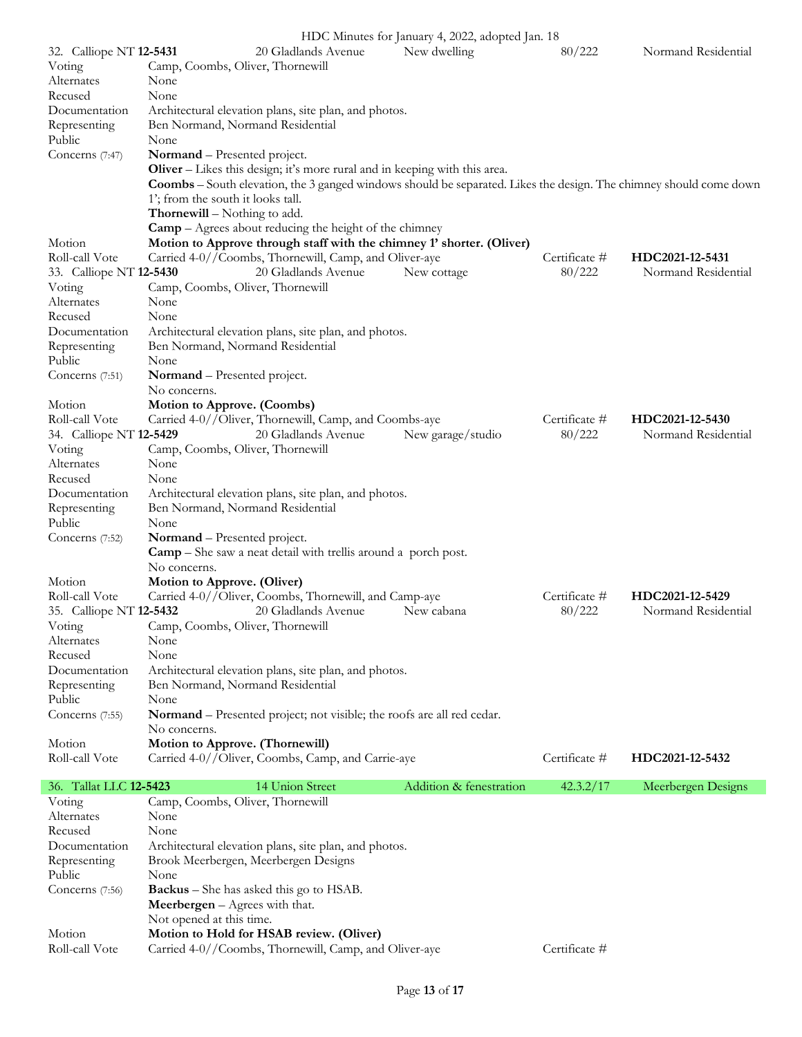|                          | HDC Minutes for January 4, 2022, adopted Jan. 18                                                                          |               |                     |
|--------------------------|---------------------------------------------------------------------------------------------------------------------------|---------------|---------------------|
| 32. Calliope NT 12-5431  | 20 Gladlands Avenue<br>New dwelling                                                                                       | 80/222        | Normand Residential |
| Voting                   | Camp, Coombs, Oliver, Thornewill                                                                                          |               |                     |
| Alternates               | None                                                                                                                      |               |                     |
| Recused                  | None                                                                                                                      |               |                     |
| Documentation            | Architectural elevation plans, site plan, and photos.                                                                     |               |                     |
| Representing             | Ben Normand, Normand Residential                                                                                          |               |                     |
| Public                   | None                                                                                                                      |               |                     |
| Concerns (7:47)          | Normand - Presented project.                                                                                              |               |                     |
|                          | Oliver – Likes this design; it's more rural and in keeping with this area.                                                |               |                     |
|                          | <b>Coombs</b> – South elevation, the 3 ganged windows should be separated. Likes the design. The chimney should come down |               |                     |
|                          | 1'; from the south it looks tall.                                                                                         |               |                     |
|                          | <b>Thornewill</b> – Nothing to add.                                                                                       |               |                     |
|                          | $\text{Comp} - \text{Agrees}$ about reducing the height of the chimney                                                    |               |                     |
| Motion                   | Motion to Approve through staff with the chimney 1' shorter. (Oliver)                                                     |               |                     |
| Roll-call Vote           | Carried 4-0//Coombs, Thornewill, Camp, and Oliver-aye                                                                     | Certificate # | HDC2021-12-5431     |
| 33. Calliope NT 12-5430  | 20 Gladlands Avenue<br>New cottage                                                                                        | 80/222        | Normand Residential |
| Voting                   | Camp, Coombs, Oliver, Thornewill                                                                                          |               |                     |
| Alternates               | None                                                                                                                      |               |                     |
| Recused                  | None                                                                                                                      |               |                     |
| Documentation            | Architectural elevation plans, site plan, and photos.                                                                     |               |                     |
| Representing             | Ben Normand, Normand Residential                                                                                          |               |                     |
| Public                   | None                                                                                                                      |               |                     |
| Concerns (7:51)          | Normand - Presented project.                                                                                              |               |                     |
|                          | No concerns.                                                                                                              |               |                     |
| Motion<br>Roll-call Vote | Motion to Approve. (Coombs)<br>Carried 4-0//Oliver, Thornewill, Camp, and Coombs-aye                                      | Certificate # | HDC2021-12-5430     |
|                          |                                                                                                                           |               | Normand Residential |
| 34. Calliope NT 12-5429  | 20 Gladlands Avenue<br>New garage/studio<br>Camp, Coombs, Oliver, Thornewill                                              | 80/222        |                     |
| Voting<br>Alternates     | None                                                                                                                      |               |                     |
| Recused                  | None                                                                                                                      |               |                     |
| Documentation            | Architectural elevation plans, site plan, and photos.                                                                     |               |                     |
| Representing             | Ben Normand, Normand Residential                                                                                          |               |                     |
| Public                   | None                                                                                                                      |               |                     |
| Concerns $(7:52)$        | Normand - Presented project.                                                                                              |               |                     |
|                          | <b>Camp</b> – She saw a neat detail with trellis around a porch post.                                                     |               |                     |
|                          | No concerns.                                                                                                              |               |                     |
| Motion                   | Motion to Approve. (Oliver)                                                                                               |               |                     |
| Roll-call Vote           | Carried 4-0//Oliver, Coombs, Thornewill, and Camp-aye                                                                     | Certificate # | HDC2021-12-5429     |
| 35. Calliope NT 12-5432  | 20 Gladlands Avenue<br>New cabana                                                                                         | 80/222        | Normand Residential |
| Voting                   | Camp, Coombs, Oliver, Thornewill                                                                                          |               |                     |
| Alternates               | None                                                                                                                      |               |                     |
| Recused                  | None                                                                                                                      |               |                     |
| Documentation            | Architectural elevation plans, site plan, and photos.                                                                     |               |                     |
| Representing             | Ben Normand, Normand Residential                                                                                          |               |                     |
| Public                   | None                                                                                                                      |               |                     |
| Concerns (7:55)          | Normand – Presented project; not visible; the roofs are all red cedar.                                                    |               |                     |
|                          | No concerns.                                                                                                              |               |                     |
| Motion                   | Motion to Approve. (Thornewill)                                                                                           |               |                     |
| Roll-call Vote           | Carried 4-0//Oliver, Coombs, Camp, and Carrie-aye                                                                         | Certificate # | HDC2021-12-5432     |
|                          |                                                                                                                           |               |                     |
| 36. Tallat LLC 12-5423   | 14 Union Street<br>Addition & fenestration                                                                                | 42.3.2/17     | Meerbergen Designs  |
| Voting                   | Camp, Coombs, Oliver, Thornewill                                                                                          |               |                     |
| Alternates<br>Recused    | None<br>None                                                                                                              |               |                     |
| Documentation            | Architectural elevation plans, site plan, and photos.                                                                     |               |                     |
| Representing             | Brook Meerbergen, Meerbergen Designs                                                                                      |               |                     |
| Public                   | None                                                                                                                      |               |                     |
| Concerns (7:56)          | <b>Backus</b> – She has asked this go to HSAB.                                                                            |               |                     |
|                          | Meerbergen - Agrees with that.                                                                                            |               |                     |
|                          | Not opened at this time.                                                                                                  |               |                     |
| Motion                   | Motion to Hold for HSAB review. (Oliver)                                                                                  |               |                     |
| Roll-call Vote           | Carried 4-0//Coombs, Thornewill, Camp, and Oliver-aye                                                                     | Certificate # |                     |
|                          |                                                                                                                           |               |                     |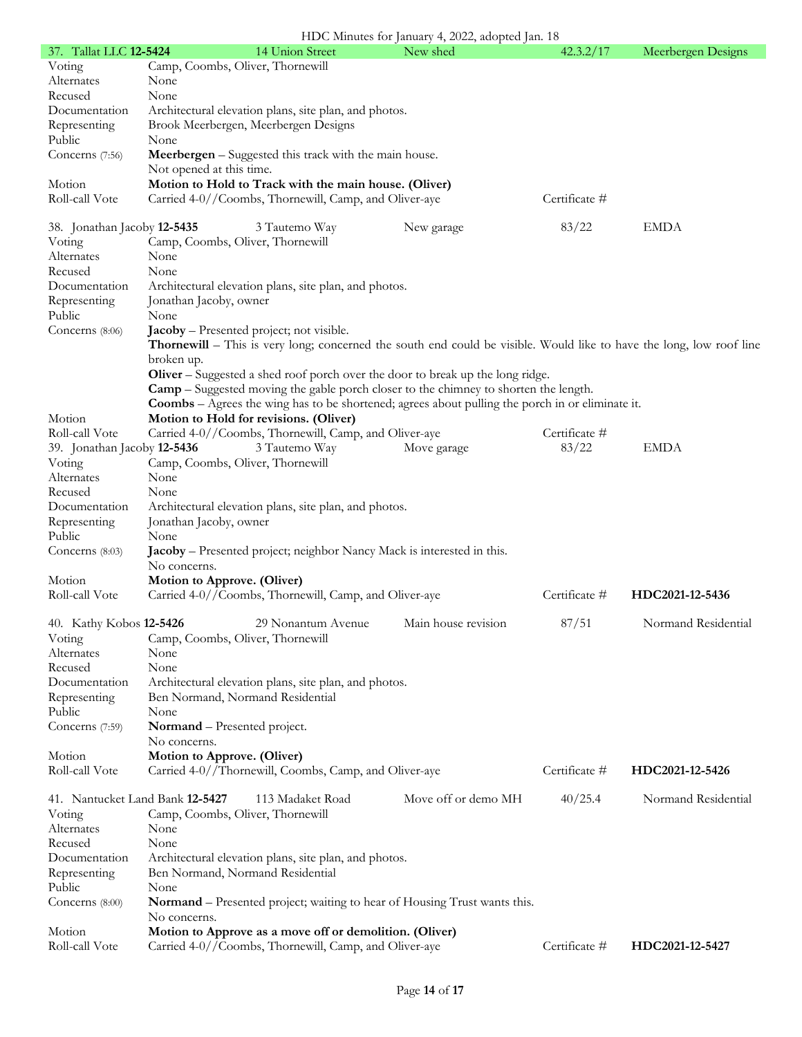|                                                                | HDC Minutes for January 4, 2022, adopted Jan. 18                                                                     |                     |               |                     |  |  |  |  |
|----------------------------------------------------------------|----------------------------------------------------------------------------------------------------------------------|---------------------|---------------|---------------------|--|--|--|--|
| 37. Tallat LLC 12-5424                                         | 14 Union Street<br>New shed                                                                                          |                     | 42.3.2/17     | Meerbergen Designs  |  |  |  |  |
| Voting                                                         | Camp, Coombs, Oliver, Thornewill                                                                                     |                     |               |                     |  |  |  |  |
| Alternates                                                     | None                                                                                                                 |                     |               |                     |  |  |  |  |
| Recused                                                        | None                                                                                                                 |                     |               |                     |  |  |  |  |
| Documentation                                                  | Architectural elevation plans, site plan, and photos.                                                                |                     |               |                     |  |  |  |  |
| Representing                                                   | Brook Meerbergen, Meerbergen Designs                                                                                 |                     |               |                     |  |  |  |  |
| Public                                                         | None                                                                                                                 |                     |               |                     |  |  |  |  |
| Concerns (7:56)                                                | Meerbergen - Suggested this track with the main house.                                                               |                     |               |                     |  |  |  |  |
|                                                                | Not opened at this time.                                                                                             |                     |               |                     |  |  |  |  |
| Motion                                                         | Motion to Hold to Track with the main house. (Oliver)                                                                |                     |               |                     |  |  |  |  |
| Roll-call Vote                                                 | Carried 4-0//Coombs, Thornewill, Camp, and Oliver-aye                                                                |                     | Certificate # |                     |  |  |  |  |
| 38. Jonathan Jacoby 12-5435<br>Voting<br>Alternates<br>Recused | 3 Tautemo Way<br>New garage<br>Camp, Coombs, Oliver, Thornewill<br>None<br>None                                      |                     | 83/22         | <b>EMDA</b>         |  |  |  |  |
| Documentation<br>Representing<br>Public                        | Architectural elevation plans, site plan, and photos.<br>Jonathan Jacoby, owner<br>None                              |                     |               |                     |  |  |  |  |
| Concerns (8:06)                                                | Jacoby - Presented project; not visible.                                                                             |                     |               |                     |  |  |  |  |
|                                                                | Thornewill - This is very long; concerned the south end could be visible. Would like to have the long, low roof line |                     |               |                     |  |  |  |  |
|                                                                | broken up.<br>Oliver - Suggested a shed roof porch over the door to break up the long ridge.                         |                     |               |                     |  |  |  |  |
|                                                                | Camp – Suggested moving the gable porch closer to the chimney to shorten the length.                                 |                     |               |                     |  |  |  |  |
|                                                                | <b>Coombs</b> – Agrees the wing has to be shortened; agrees about pulling the porch in or eliminate it.              |                     |               |                     |  |  |  |  |
| Motion                                                         | Motion to Hold for revisions. (Oliver)                                                                               |                     |               |                     |  |  |  |  |
| Roll-call Vote                                                 | Carried 4-0//Coombs, Thornewill, Camp, and Oliver-aye                                                                |                     | Certificate # |                     |  |  |  |  |
| 39. Jonathan Jacoby 12-5436                                    | 3 Tautemo Way<br>Move garage                                                                                         |                     | 83/22         | <b>EMDA</b>         |  |  |  |  |
| Voting                                                         | Camp, Coombs, Oliver, Thornewill                                                                                     |                     |               |                     |  |  |  |  |
| Alternates                                                     | None                                                                                                                 |                     |               |                     |  |  |  |  |
| Recused                                                        | None                                                                                                                 |                     |               |                     |  |  |  |  |
| Documentation                                                  | Architectural elevation plans, site plan, and photos.                                                                |                     |               |                     |  |  |  |  |
| Representing                                                   | Jonathan Jacoby, owner                                                                                               |                     |               |                     |  |  |  |  |
| Public                                                         | None                                                                                                                 |                     |               |                     |  |  |  |  |
| Concerns $(8:03)$                                              | Jacoby - Presented project; neighbor Nancy Mack is interested in this.<br>No concerns.                               |                     |               |                     |  |  |  |  |
| Motion                                                         | Motion to Approve. (Oliver)                                                                                          |                     |               |                     |  |  |  |  |
| Roll-call Vote                                                 | Carried 4-0//Coombs, Thornewill, Camp, and Oliver-aye                                                                |                     | Certificate # | HDC2021-12-5436     |  |  |  |  |
|                                                                |                                                                                                                      |                     |               |                     |  |  |  |  |
| 40. Kathy Kobos 12-5426<br>Voting<br>Alternates                | 29 Nonantum Avenue<br>Camp, Coombs, Oliver, Thornewill<br>None                                                       | Main house revision | 87/51         | Normand Residential |  |  |  |  |
| Recused                                                        | None                                                                                                                 |                     |               |                     |  |  |  |  |
| Documentation                                                  | Architectural elevation plans, site plan, and photos.                                                                |                     |               |                     |  |  |  |  |
| Representing                                                   | Ben Normand, Normand Residential                                                                                     |                     |               |                     |  |  |  |  |
| Public                                                         | None                                                                                                                 |                     |               |                     |  |  |  |  |
| Concerns (7:59)                                                | Normand - Presented project.                                                                                         |                     |               |                     |  |  |  |  |
|                                                                | No concerns.                                                                                                         |                     |               |                     |  |  |  |  |
| Motion                                                         | Motion to Approve. (Oliver)                                                                                          |                     |               |                     |  |  |  |  |
| Roll-call Vote                                                 | Carried 4-0//Thornewill, Coombs, Camp, and Oliver-aye                                                                |                     | Certificate # | HDC2021-12-5426     |  |  |  |  |
| 41. Nantucket Land Bank 12-5427<br>Voting                      | 113 Madaket Road<br>Camp, Coombs, Oliver, Thornewill                                                                 | Move off or demo MH | 40/25.4       | Normand Residential |  |  |  |  |
| Alternates                                                     | None                                                                                                                 |                     |               |                     |  |  |  |  |
| Recused                                                        | None                                                                                                                 |                     |               |                     |  |  |  |  |
| Documentation                                                  | Architectural elevation plans, site plan, and photos.                                                                |                     |               |                     |  |  |  |  |
| Representing                                                   | Ben Normand, Normand Residential                                                                                     |                     |               |                     |  |  |  |  |
| Public                                                         | None                                                                                                                 |                     |               |                     |  |  |  |  |
| Concerns $(8:00)$                                              | Normand – Presented project; waiting to hear of Housing Trust wants this.                                            |                     |               |                     |  |  |  |  |
|                                                                | No concerns.                                                                                                         |                     |               |                     |  |  |  |  |
| Motion                                                         | Motion to Approve as a move off or demolition. (Oliver)                                                              |                     |               |                     |  |  |  |  |
| Roll-call Vote                                                 | Carried 4-0//Coombs, Thornewill, Camp, and Oliver-aye                                                                |                     | Certificate # | HDC2021-12-5427     |  |  |  |  |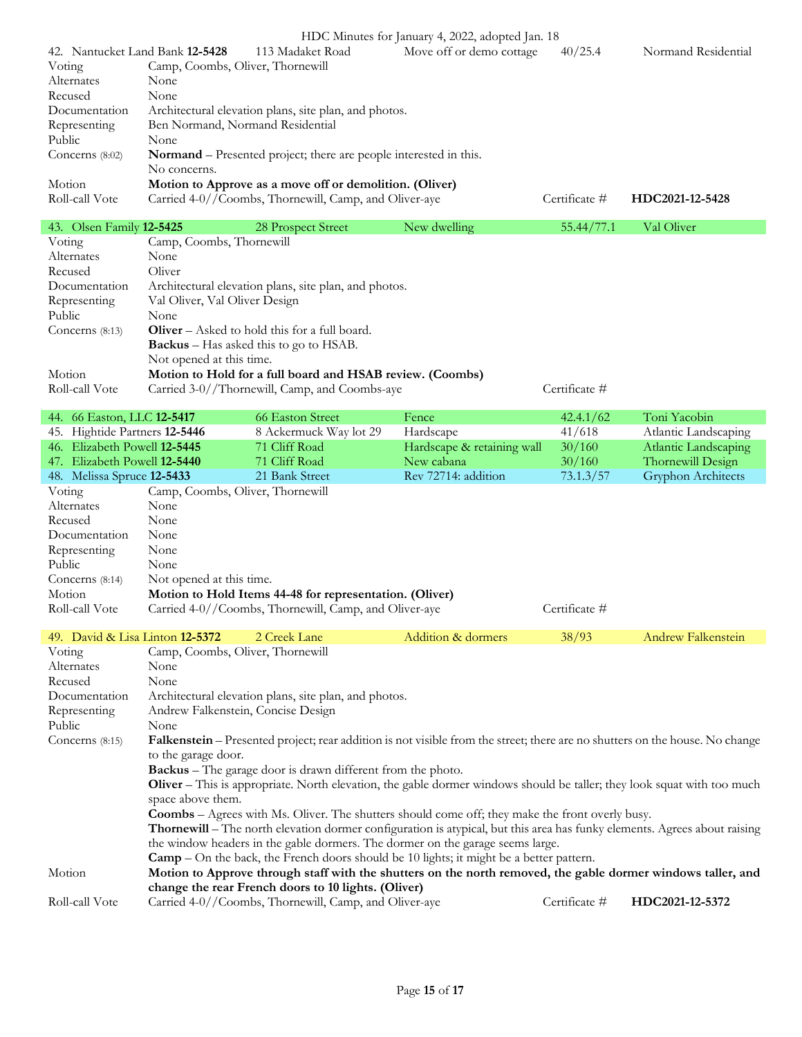|                   |                                                       |                                                                          | HDC Minutes for January 4, 2022, adopted Jan. 18 |               |                     |  |
|-------------------|-------------------------------------------------------|--------------------------------------------------------------------------|--------------------------------------------------|---------------|---------------------|--|
|                   | 42. Nantucket Land Bank 12-5428                       | 113 Madaket Road                                                         | Move off or demo cottage                         | 40/25.4       | Normand Residential |  |
| Voting            | Camp, Coombs, Oliver, Thornewill                      |                                                                          |                                                  |               |                     |  |
| Alternates        | None                                                  |                                                                          |                                                  |               |                     |  |
| Recused           | None                                                  |                                                                          |                                                  |               |                     |  |
| Documentation     | Architectural elevation plans, site plan, and photos. |                                                                          |                                                  |               |                     |  |
| Representing      | Ben Normand, Normand Residential                      |                                                                          |                                                  |               |                     |  |
| Public            | None                                                  |                                                                          |                                                  |               |                     |  |
| Concerns $(8:02)$ |                                                       | <b>Normand</b> – Presented project; there are people interested in this. |                                                  |               |                     |  |
|                   | No concerns.                                          |                                                                          |                                                  |               |                     |  |
| Motion            |                                                       | Motion to Approve as a move off or demolition. (Oliver)                  |                                                  |               |                     |  |
| Roll-call Vote    |                                                       | Carried 4-0//Coombs, Thornewill, Camp, and Oliver-aye                    |                                                  | Certificate # | HDC2021-12-5428     |  |

| 43. Olsen Family 12-5425 |                                                      | 28 Prospect Street                                        | New dwelling | 55.44/77.1    | Val Oliver |  |
|--------------------------|------------------------------------------------------|-----------------------------------------------------------|--------------|---------------|------------|--|
| Voting                   | Camp, Coombs, Thornewill                             |                                                           |              |               |            |  |
| Alternates               | None                                                 |                                                           |              |               |            |  |
| Recused                  | Oliver                                               |                                                           |              |               |            |  |
| Documentation            |                                                      | Architectural elevation plans, site plan, and photos.     |              |               |            |  |
| Representing             | Val Oliver, Val Oliver Design                        |                                                           |              |               |            |  |
| Public                   | None                                                 |                                                           |              |               |            |  |
| Concerns $(8:13)$        | <b>Oliver</b> – Asked to hold this for a full board. |                                                           |              |               |            |  |
|                          |                                                      | <b>Backus</b> – Has asked this to go to HSAB.             |              |               |            |  |
|                          | Not opened at this time.                             |                                                           |              |               |            |  |
| Motion                   |                                                      | Motion to Hold for a full board and HSAB review. (Coombs) |              |               |            |  |
| Roll-call Vote           |                                                      | Carried 3-0//Thornewill, Camp, and Coombs-aye             |              | Certificate # |            |  |

| 44. 66 Easton, LLC <b>12-5417</b>                               |                                                                        | 66 Easton Street        | Fence                      | 42.4.1/62 | Toni Yacobin                |  |  |
|-----------------------------------------------------------------|------------------------------------------------------------------------|-------------------------|----------------------------|-----------|-----------------------------|--|--|
| 45. Hightide Partners 12-5446                                   |                                                                        | 8 Ackermuck Way lot 29  | Hardscape                  | 41/618    | Atlantic Landscaping        |  |  |
| 46. Elizabeth Powell 12-5445                                    |                                                                        | 71 Cliff Road           | Hardscape & retaining wall | 30/160    | <b>Atlantic Landscaping</b> |  |  |
| 47. Elizabeth Powell 12-5440                                    |                                                                        | 71 Cliff Road           | New cabana                 | 30/160    | Thornewill Design           |  |  |
| 48. Melissa Spruce 12-5433                                      |                                                                        | 21 Bank Street          | Rev 72714: addition        | 73.1.3/57 | Gryphon Architects          |  |  |
| Voting                                                          | Camp, Coombs, Oliver, Thornewill                                       |                         |                            |           |                             |  |  |
| Alternates                                                      | None                                                                   |                         |                            |           |                             |  |  |
| Recused                                                         | None                                                                   |                         |                            |           |                             |  |  |
| Documentation                                                   | None                                                                   |                         |                            |           |                             |  |  |
| Representing                                                    | None                                                                   |                         |                            |           |                             |  |  |
| Public                                                          | None                                                                   |                         |                            |           |                             |  |  |
| Concerns $(8:14)$                                               | Not opened at this time.                                               |                         |                            |           |                             |  |  |
| Motion                                                          | Motion to Hold Items 44-48 for representation. (Oliver)                |                         |                            |           |                             |  |  |
| Roll-call Vote                                                  | Carried 4-0//Coombs, Thornewill, Camp, and Oliver-aye<br>Certificate # |                         |                            |           |                             |  |  |
|                                                                 |                                                                        |                         |                            |           |                             |  |  |
| $\mu$ D <sub>avid</sub> $\ell$ <sup>r</sup> Lies Linton 12-5372 |                                                                        | $2 \text{C}$ reek I ane | Addition & dormers         | 38/03     | Andrew Folkenstein          |  |  |

| 49. David & Lisa Linton 12-5372 |                                                                                                                                | 2 Creek Lane                                          | Addition & dormers                                                                                                                  | 38/93         | Andrew Falkenstein |  |
|---------------------------------|--------------------------------------------------------------------------------------------------------------------------------|-------------------------------------------------------|-------------------------------------------------------------------------------------------------------------------------------------|---------------|--------------------|--|
| Voting                          | Camp, Coombs, Oliver, Thornewill                                                                                               |                                                       |                                                                                                                                     |               |                    |  |
| Alternates                      | None                                                                                                                           |                                                       |                                                                                                                                     |               |                    |  |
| Recused                         | None                                                                                                                           |                                                       |                                                                                                                                     |               |                    |  |
| Documentation                   |                                                                                                                                | Architectural elevation plans, site plan, and photos. |                                                                                                                                     |               |                    |  |
| Representing                    |                                                                                                                                | Andrew Falkenstein, Concise Design                    |                                                                                                                                     |               |                    |  |
| Public                          | None                                                                                                                           |                                                       |                                                                                                                                     |               |                    |  |
| Concerns $(8:15)$               |                                                                                                                                |                                                       | <b>Falkenstein</b> – Presented project; rear addition is not visible from the street; there are no shutters on the house. No change |               |                    |  |
|                                 | to the garage door.                                                                                                            |                                                       |                                                                                                                                     |               |                    |  |
|                                 | <b>Backus</b> – The garage door is drawn different from the photo.                                                             |                                                       |                                                                                                                                     |               |                    |  |
|                                 | <b>Oliver</b> – This is appropriate. North elevation, the gable dormer windows should be taller; they look squat with too much |                                                       |                                                                                                                                     |               |                    |  |
|                                 | space above them.                                                                                                              |                                                       |                                                                                                                                     |               |                    |  |
|                                 | <b>Coombs</b> – Agrees with Ms. Oliver. The shutters should come off; they make the front overly busy.                         |                                                       |                                                                                                                                     |               |                    |  |
|                                 |                                                                                                                                |                                                       | <b>Thornewill</b> – The north elevation dormer configuration is atypical, but this area has funky elements. Agrees about raising    |               |                    |  |
|                                 | the window headers in the gable dormers. The dormer on the garage seems large.                                                 |                                                       |                                                                                                                                     |               |                    |  |
|                                 | $\text{Camp} - \text{On}$ the back, the French doors should be 10 lights; it might be a better pattern.                        |                                                       |                                                                                                                                     |               |                    |  |
| Motion                          | Motion to Approve through staff with the shutters on the north removed, the gable dormer windows taller, and                   |                                                       |                                                                                                                                     |               |                    |  |
|                                 |                                                                                                                                | change the rear French doors to 10 lights. (Oliver)   |                                                                                                                                     |               |                    |  |
| Roll-call Vote                  |                                                                                                                                | Carried 4-0//Coombs, Thornewill, Camp, and Oliver-aye |                                                                                                                                     | Certificate # | HDC2021-12-5372    |  |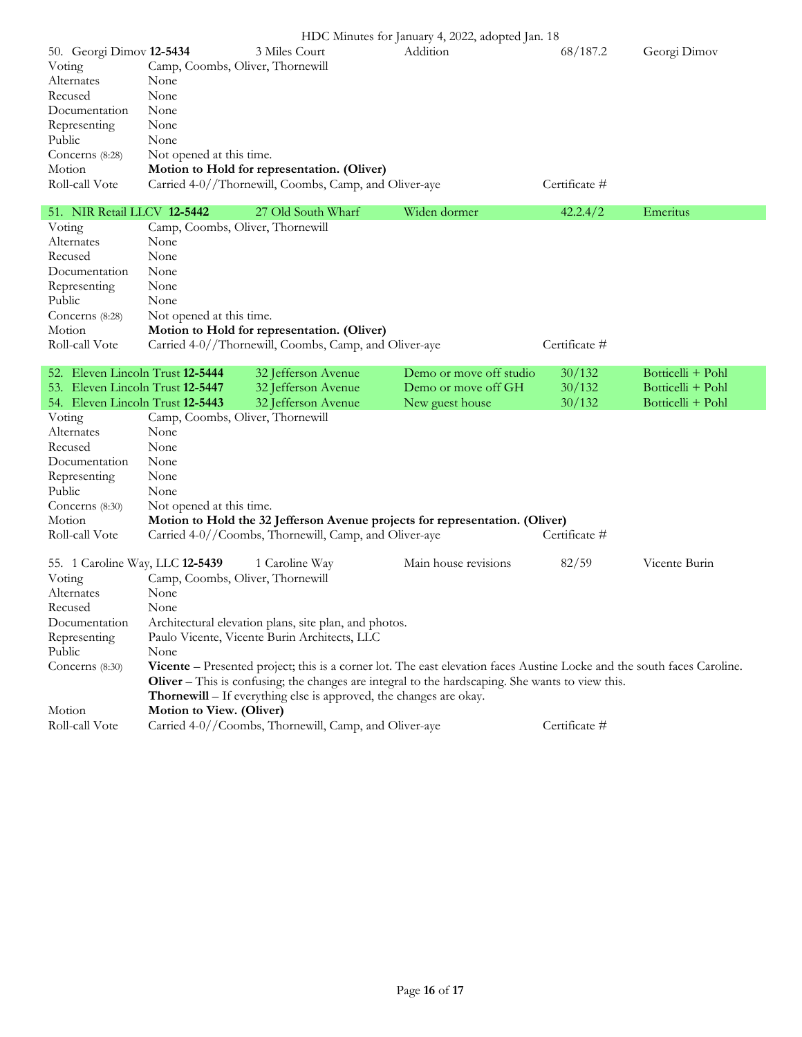|                                  |                                                                                                       |                                                       | HDC Minutes for January 4, 2022, adopted Jan. 18                                                                        |               |                   |  |  |
|----------------------------------|-------------------------------------------------------------------------------------------------------|-------------------------------------------------------|-------------------------------------------------------------------------------------------------------------------------|---------------|-------------------|--|--|
| 50. Georgi Dimov 12-5434         |                                                                                                       | 3 Miles Court                                         | Addition                                                                                                                | 68/187.2      | Georgi Dimov      |  |  |
| Voting                           | Camp, Coombs, Oliver, Thornewill                                                                      |                                                       |                                                                                                                         |               |                   |  |  |
| Alternates                       | None                                                                                                  |                                                       |                                                                                                                         |               |                   |  |  |
| Recused                          | None                                                                                                  |                                                       |                                                                                                                         |               |                   |  |  |
| Documentation                    | None                                                                                                  |                                                       |                                                                                                                         |               |                   |  |  |
| Representing                     | None                                                                                                  |                                                       |                                                                                                                         |               |                   |  |  |
| Public                           | None                                                                                                  |                                                       |                                                                                                                         |               |                   |  |  |
| Concerns (8:28)                  | Not opened at this time.                                                                              |                                                       |                                                                                                                         |               |                   |  |  |
| Motion                           |                                                                                                       | Motion to Hold for representation. (Oliver)           |                                                                                                                         |               |                   |  |  |
| Roll-call Vote                   |                                                                                                       | Carried 4-0//Thornewill, Coombs, Camp, and Oliver-aye |                                                                                                                         | Certificate # |                   |  |  |
|                                  |                                                                                                       |                                                       |                                                                                                                         |               |                   |  |  |
| 51. NIR Retail LLCV 12-5442      |                                                                                                       | 27 Old South Wharf                                    | Widen dormer                                                                                                            | 42.2.4/2      | Emeritus          |  |  |
| Voting                           | Camp, Coombs, Oliver, Thornewill                                                                      |                                                       |                                                                                                                         |               |                   |  |  |
| Alternates                       | None                                                                                                  |                                                       |                                                                                                                         |               |                   |  |  |
| Recused                          | None                                                                                                  |                                                       |                                                                                                                         |               |                   |  |  |
| Documentation                    | None                                                                                                  |                                                       |                                                                                                                         |               |                   |  |  |
| Representing                     | None                                                                                                  |                                                       |                                                                                                                         |               |                   |  |  |
| Public                           | None                                                                                                  |                                                       |                                                                                                                         |               |                   |  |  |
| Concerns (8:28)                  | Not opened at this time.                                                                              |                                                       |                                                                                                                         |               |                   |  |  |
| Motion                           |                                                                                                       | Motion to Hold for representation. (Oliver)           |                                                                                                                         |               |                   |  |  |
| Roll-call Vote                   |                                                                                                       | Carried 4-0//Thornewill, Coombs, Camp, and Oliver-aye |                                                                                                                         | Certificate # |                   |  |  |
|                                  |                                                                                                       |                                                       |                                                                                                                         |               |                   |  |  |
| 52. Eleven Lincoln Trust 12-5444 |                                                                                                       | 32 Jefferson Avenue                                   | Demo or move off studio                                                                                                 | 30/132        | Botticelli + Pohl |  |  |
| 53. Eleven Lincoln Trust 12-5447 |                                                                                                       | 32 Jefferson Avenue                                   | Demo or move off GH                                                                                                     | 30/132        | Botticelli + Pohl |  |  |
| 54. Eleven Lincoln Trust 12-5443 |                                                                                                       | 32 Jefferson Avenue                                   | New guest house                                                                                                         | 30/132        | Botticelli + Pohl |  |  |
| Voting                           | Camp, Coombs, Oliver, Thornewill                                                                      |                                                       |                                                                                                                         |               |                   |  |  |
| Alternates                       | None                                                                                                  |                                                       |                                                                                                                         |               |                   |  |  |
| Recused                          | None                                                                                                  |                                                       |                                                                                                                         |               |                   |  |  |
| Documentation                    |                                                                                                       | None                                                  |                                                                                                                         |               |                   |  |  |
| Representing                     | None                                                                                                  |                                                       |                                                                                                                         |               |                   |  |  |
| Public                           | None                                                                                                  |                                                       |                                                                                                                         |               |                   |  |  |
| Concerns (8:30)                  | Not opened at this time.                                                                              |                                                       |                                                                                                                         |               |                   |  |  |
| Motion                           | Motion to Hold the 32 Jefferson Avenue projects for representation. (Oliver)                          |                                                       |                                                                                                                         |               |                   |  |  |
| Roll-call Vote                   |                                                                                                       | Carried 4-0//Coombs, Thornewill, Camp, and Oliver-aye |                                                                                                                         | Certificate # |                   |  |  |
|                                  |                                                                                                       |                                                       |                                                                                                                         |               |                   |  |  |
| 55. 1 Caroline Way, LLC 12-5439  |                                                                                                       | 1 Caroline Way                                        | Main house revisions                                                                                                    | 82/59         | Vicente Burin     |  |  |
| Voting                           | Camp, Coombs, Oliver, Thornewill                                                                      |                                                       |                                                                                                                         |               |                   |  |  |
| Alternates                       | None                                                                                                  |                                                       |                                                                                                                         |               |                   |  |  |
| Recused                          | None                                                                                                  |                                                       |                                                                                                                         |               |                   |  |  |
| Documentation                    | Architectural elevation plans, site plan, and photos.                                                 |                                                       |                                                                                                                         |               |                   |  |  |
| Representing                     | Paulo Vicente, Vicente Burin Architects, LLC                                                          |                                                       |                                                                                                                         |               |                   |  |  |
| Public                           | None                                                                                                  |                                                       |                                                                                                                         |               |                   |  |  |
| Concerns (8:30)                  |                                                                                                       |                                                       | Vicente - Presented project; this is a corner lot. The east elevation faces Austine Locke and the south faces Caroline. |               |                   |  |  |
|                                  | Oliver - This is confusing; the changes are integral to the hardscaping. She wants to view this.      |                                                       |                                                                                                                         |               |                   |  |  |
|                                  | <b>Thornewill</b> – If everything else is approved, the changes are okay.<br>Motion to View. (Oliver) |                                                       |                                                                                                                         |               |                   |  |  |
| Motion                           |                                                                                                       |                                                       |                                                                                                                         |               |                   |  |  |
| Roll-call Vote                   |                                                                                                       | Carried 4-0//Coombs, Thornewill, Camp, and Oliver-aye |                                                                                                                         | Certificate # |                   |  |  |